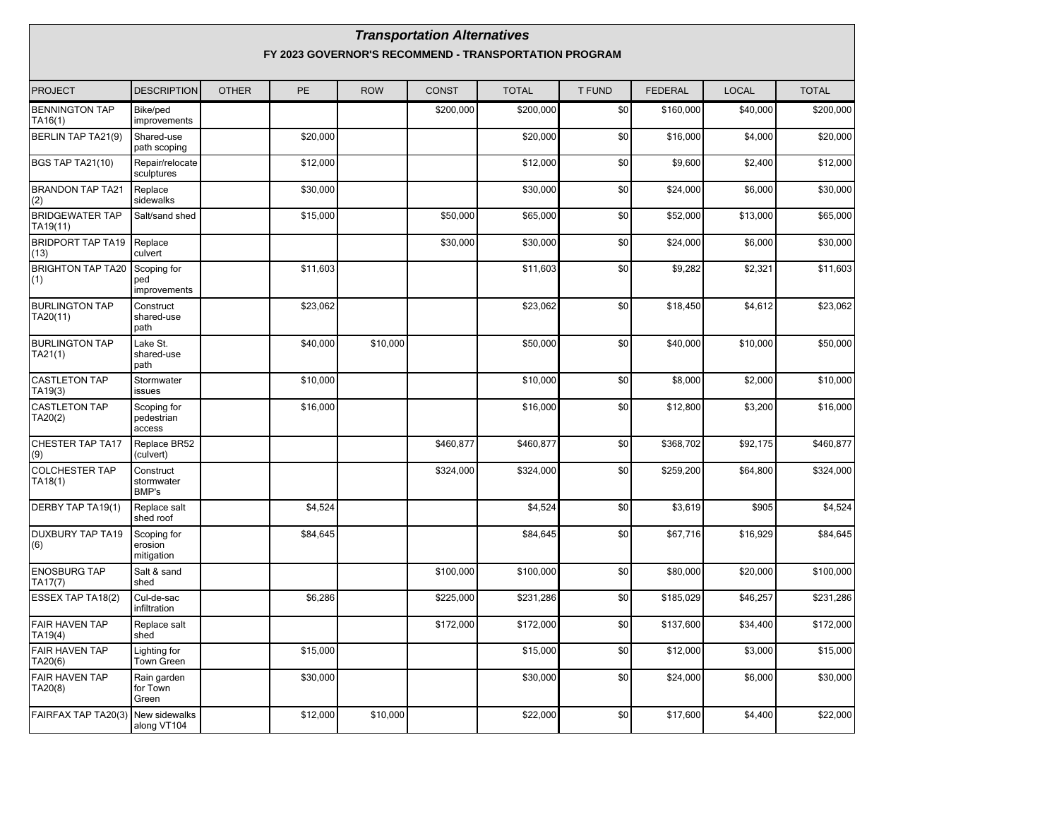|                                    | <b>Transportation Alternatives</b><br>FY 2023 GOVERNOR'S RECOMMEND - TRANSPORTATION PROGRAM |              |          |            |              |              |               |                |              |              |  |  |  |
|------------------------------------|---------------------------------------------------------------------------------------------|--------------|----------|------------|--------------|--------------|---------------|----------------|--------------|--------------|--|--|--|
| PROJECT                            | <b>DESCRIPTION</b>                                                                          | <b>OTHER</b> | PE       | <b>ROW</b> | <b>CONST</b> | <b>TOTAL</b> | <b>T FUND</b> | <b>FEDERAL</b> | <b>LOCAL</b> | <b>TOTAL</b> |  |  |  |
| <b>BENNINGTON TAP</b><br>TA16(1)   | Bike/ped<br>improvements                                                                    |              |          |            | \$200,000    | \$200,000    | \$0           | \$160,000      | \$40,000     | \$200,000    |  |  |  |
| BERLIN TAP TA21(9)                 | Shared-use<br>path scoping                                                                  |              | \$20,000 |            |              | \$20,000     | \$0           | \$16,000       | \$4,000      | \$20,000     |  |  |  |
| <b>BGS TAP TA21(10)</b>            | Repair/relocate<br>sculptures                                                               |              | \$12,000 |            |              | \$12,000     | \$0           | \$9,600        | \$2,400      | \$12,000     |  |  |  |
| BRANDON TAP TA21<br>(2)            | Replace<br>sidewalks                                                                        |              | \$30,000 |            |              | \$30,000     | \$0           | \$24,000       | \$6,000      | \$30,000     |  |  |  |
| <b>BRIDGEWATER TAP</b><br>TA19(11) | Salt/sand shed                                                                              |              | \$15,000 |            | \$50,000     | \$65,000     | \$0           | \$52,000       | \$13,000     | \$65,000     |  |  |  |
| <b>BRIDPORT TAP TA19</b><br>(13)   | Replace<br>culvert                                                                          |              |          |            | \$30,000     | \$30,000     | \$0           | \$24,000       | \$6,000      | \$30,000     |  |  |  |
| <b>BRIGHTON TAP TA20</b><br>(1)    | Scoping for<br>ped<br>improvements                                                          |              | \$11,603 |            |              | \$11,603     | \$0           | \$9,282        | \$2,321      | \$11,603     |  |  |  |
| <b>BURLINGTON TAP</b><br>TA20(11)  | Construct<br>shared-use<br>path                                                             |              | \$23,062 |            |              | \$23,062     | \$0           | \$18,450       | \$4,612      | \$23,062     |  |  |  |
| <b>BURLINGTON TAP</b><br>TA21(1)   | Lake St.<br>shared-use<br>path                                                              |              | \$40,000 | \$10,000   |              | \$50,000     | \$0           | \$40,000       | \$10,000     | \$50,000     |  |  |  |
| <b>CASTLETON TAP</b><br>TA19(3)    | Stormwater<br>issues                                                                        |              | \$10,000 |            |              | \$10,000     | \$0           | \$8,000        | \$2,000      | \$10,000     |  |  |  |
| <b>CASTLETON TAP</b><br>TA20(2)    | Scoping for<br>pedestrian<br>access                                                         |              | \$16,000 |            |              | \$16,000     | \$0           | \$12,800       | \$3,200      | \$16,000     |  |  |  |
| CHESTER TAP TA17<br>(9)            | Replace BR52<br>(culvert)                                                                   |              |          |            | \$460,877    | \$460,877    | \$0           | \$368,702      | \$92,175     | \$460,877    |  |  |  |
| COLCHESTER TAP<br>TA18(1)          | Construct<br>stormwater<br><b>BMP's</b>                                                     |              |          |            | \$324,000    | \$324,000    | \$0           | \$259,200      | \$64,800     | \$324,000    |  |  |  |
| DERBY TAP TA19(1)                  | Replace salt<br>shed roof                                                                   |              | \$4,524  |            |              | \$4,524      | \$0           | \$3,619        | \$905        | \$4,524      |  |  |  |
| <b>DUXBURY TAP TA19</b><br>(6)     | Scoping for<br>erosion<br>mitigation                                                        |              | \$84,645 |            |              | \$84,645     | \$0           | \$67,716       | \$16,929     | \$84,645     |  |  |  |
| <b>ENOSBURG TAP</b><br>TA17(7)     | Salt & sand<br>shed                                                                         |              |          |            | \$100,000    | \$100,000    | \$0           | \$80,000       | \$20,000     | \$100,000    |  |  |  |
| <b>ESSEX TAP TA18(2)</b>           | Cul-de-sac<br>infiltration                                                                  |              | \$6,286  |            | \$225,000    | \$231,286    | \$0           | \$185,029      | \$46,257     | \$231,286    |  |  |  |
| <b>FAIR HAVEN TAP</b><br>TA19(4)   | Replace salt<br>shed                                                                        |              |          |            | \$172,000    | \$172,000    | \$0           | \$137,600      | \$34,400     | \$172,000    |  |  |  |
| <b>FAIR HAVEN TAP</b><br>TA20(6)   | Lighting for<br>Town Green                                                                  |              | \$15,000 |            |              | \$15,000     | \$0           | \$12,000       | \$3,000      | \$15,000     |  |  |  |
| <b>FAIR HAVEN TAP</b><br>TA20(8)   | Rain garden<br>for Town<br>Green                                                            |              | \$30,000 |            |              | \$30,000     | \$0           | \$24,000       | \$6,000      | \$30,000     |  |  |  |
| FAIRFAX TAP TA20(3)                | New sidewalks<br>along VT104                                                                |              | \$12,000 | \$10,000   |              | \$22,000     | \$0           | \$17,600       | \$4,400      | \$22,000     |  |  |  |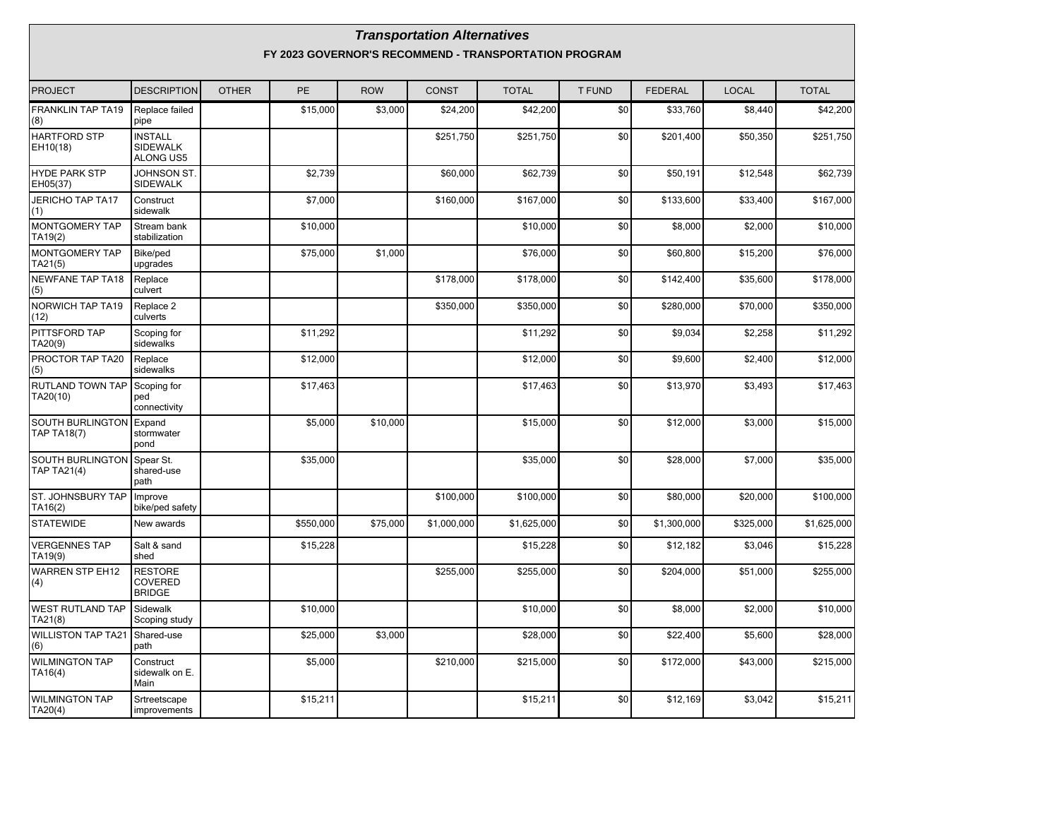|                                               |                                                       |              |           |            | <b>Transportation Alternatives</b> |              |               |                |              |              |  |  |  |
|-----------------------------------------------|-------------------------------------------------------|--------------|-----------|------------|------------------------------------|--------------|---------------|----------------|--------------|--------------|--|--|--|
|                                               | FY 2023 GOVERNOR'S RECOMMEND - TRANSPORTATION PROGRAM |              |           |            |                                    |              |               |                |              |              |  |  |  |
| <b>PROJECT</b>                                | <b>DESCRIPTION</b>                                    | <b>OTHER</b> | <b>PE</b> | <b>ROW</b> | <b>CONST</b>                       | <b>TOTAL</b> | <b>T FUND</b> | <b>FEDERAL</b> | <b>LOCAL</b> | <b>TOTAL</b> |  |  |  |
| FRANKLIN TAP TA19<br>(8)                      | Replace failed<br>pipe                                |              | \$15,000  | \$3,000    | \$24,200                           | \$42,200     | \$0           | \$33,760       | \$8,440      | \$42,200     |  |  |  |
| <b>HARTFORD STP</b><br>EH10(18)               | <b>INSTALL</b><br><b>SIDEWALK</b><br><b>ALONG US5</b> |              |           |            | \$251,750                          | \$251,750    | \$0           | \$201,400      | \$50,350     | \$251,750    |  |  |  |
| <b>HYDE PARK STP</b><br>EH05(37)              | <b>JOHNSON ST.</b><br><b>SIDEWALK</b>                 |              | \$2,739   |            | \$60,000                           | \$62,739     | \$0           | \$50,191       | \$12,548     | \$62,739     |  |  |  |
| <b>JERICHO TAP TA17</b><br>(1)                | Construct<br>sidewalk                                 |              | \$7,000   |            | \$160,000                          | \$167,000    | \$0           | \$133,600      | \$33,400     | \$167,000    |  |  |  |
| MONTGOMERY TAP<br>TA19(2)                     | Stream bank<br>stabilization                          |              | \$10,000  |            |                                    | \$10,000     | \$0           | \$8,000        | \$2,000      | \$10,000     |  |  |  |
| MONTGOMERY TAP<br>TA21(5)                     | Bike/ped<br>upgrades                                  |              | \$75,000  | \$1,000    |                                    | \$76,000     | \$0           | \$60,800       | \$15,200     | \$76,000     |  |  |  |
| <b>NEWFANE TAP TA18</b><br>(5)                | Replace<br>culvert                                    |              |           |            | \$178,000                          | \$178,000    | \$0           | \$142,400      | \$35,600     | \$178,000    |  |  |  |
| NORWICH TAP TA19<br>(12)                      | Replace 2<br>culverts                                 |              |           |            | \$350,000                          | \$350,000    | \$0           | \$280,000      | \$70,000     | \$350,000    |  |  |  |
| PITTSFORD TAP<br>TA20(9)                      | Scoping for<br>sidewalks                              |              | \$11,292  |            |                                    | \$11,292     | \$0           | \$9,034        | \$2,258      | \$11,292     |  |  |  |
| PROCTOR TAP TA20<br>(5)                       | Replace<br>sidewalks                                  |              | \$12,000  |            |                                    | \$12,000     | \$0           | \$9,600        | \$2,400      | \$12,000     |  |  |  |
| RUTLAND TOWN TAP<br>TA20(10)                  | Scoping for<br>ped<br>connectivity                    |              | \$17,463  |            |                                    | \$17,463     | \$0           | \$13,970       | \$3,493      | \$17,463     |  |  |  |
| SOUTH BURLINGTON Expand<br><b>TAP TA18(7)</b> | stormwater<br>pond                                    |              | \$5,000   | \$10,000   |                                    | \$15,000     | \$0           | \$12,000       | \$3,000      | \$15,000     |  |  |  |
| SOUTH BURLINGTON<br><b>TAP TA21(4)</b>        | Spear St.<br>shared-use<br>path                       |              | \$35,000  |            |                                    | \$35,000     | \$0           | \$28,000       | \$7,000      | \$35,000     |  |  |  |
| ST. JOHNSBURY TAP<br>TA16(2)                  | Improve<br>bike/ped safety                            |              |           |            | \$100,000                          | \$100,000    | \$0           | \$80,000       | \$20,000     | \$100,000    |  |  |  |
| <b>STATEWIDE</b>                              | New awards                                            |              | \$550,000 | \$75,000   | \$1,000,000                        | \$1,625,000  | \$0           | \$1,300,000    | \$325,000    | \$1,625,000  |  |  |  |
| <b>VERGENNES TAP</b><br>TA19(9)               | Salt & sand<br>shed                                   |              | \$15,228  |            |                                    | \$15,228     | \$0           | \$12,182       | \$3,046      | \$15,228     |  |  |  |
| <b>WARREN STP EH12</b><br>(4)                 | <b>RESTORE</b><br>COVERED<br><b>BRIDGE</b>            |              |           |            | \$255,000                          | \$255,000    | \$0           | \$204,000      | \$51,000     | \$255,000    |  |  |  |
| <b>WEST RUTLAND TAP</b><br>TA21(8)            | Sidewalk<br>Scoping study                             |              | \$10,000  |            |                                    | \$10,000     | \$0           | \$8,000        | \$2,000      | \$10,000     |  |  |  |
| <b>WILLISTON TAP TA21</b><br>(6)              | Shared-use<br>path                                    |              | \$25,000  | \$3,000    |                                    | \$28,000     | \$0           | \$22,400       | \$5,600      | \$28,000     |  |  |  |
| <b>WILMINGTON TAP</b><br>TA16(4)              | Construct<br>sidewalk on E.<br>Main                   |              | \$5,000   |            | \$210,000                          | \$215,000    | \$0           | \$172,000      | \$43,000     | \$215,000    |  |  |  |
| <b>WILMINGTON TAP</b><br>TA20(4)              | Srtreetscape<br>improvements                          |              | \$15,211  |            |                                    | \$15,211     | \$0           | \$12,169       | \$3,042      | \$15,211     |  |  |  |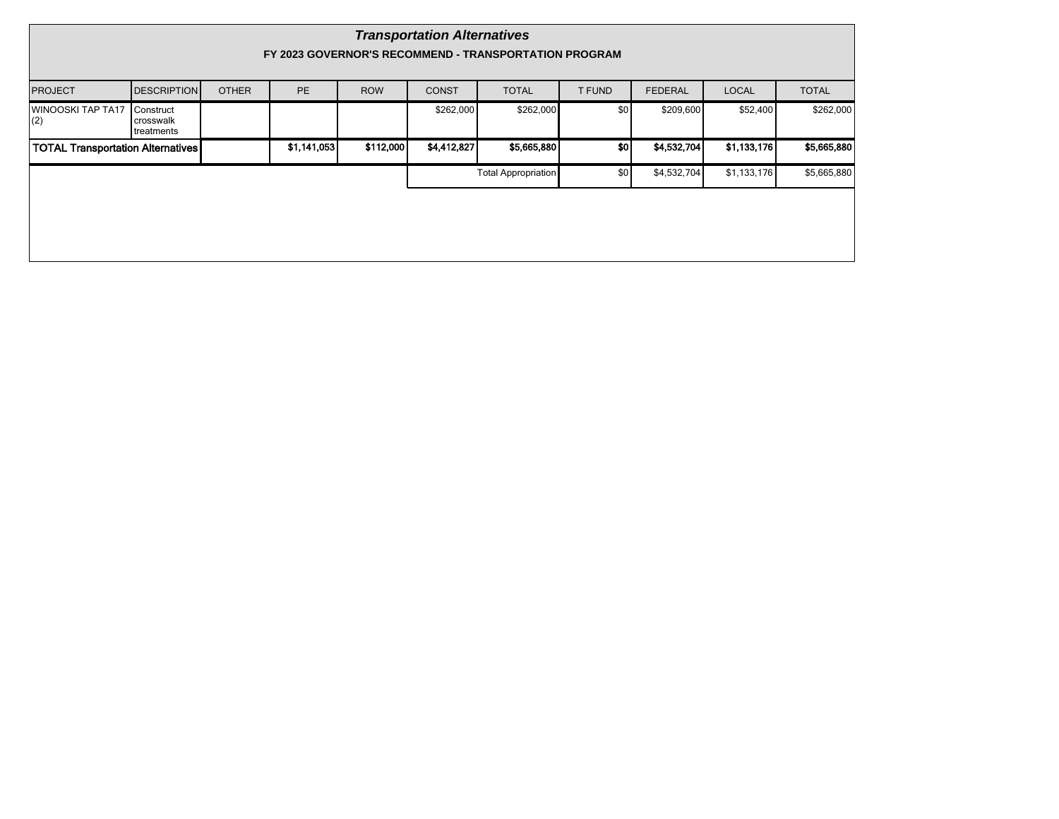|                                          | <b>Transportation Alternatives</b><br>FY 2023 GOVERNOR'S RECOMMEND - TRANSPORTATION PROGRAM |              |             |            |              |                            |                  |                |              |              |  |  |  |  |
|------------------------------------------|---------------------------------------------------------------------------------------------|--------------|-------------|------------|--------------|----------------------------|------------------|----------------|--------------|--------------|--|--|--|--|
| <b>PROJECT</b>                           | <b>DESCRIPTION</b>                                                                          | <b>OTHER</b> | <b>PE</b>   | <b>ROW</b> | <b>CONST</b> | <b>TOTAL</b>               | T FUND           | <b>FEDERAL</b> | <b>LOCAL</b> | <b>TOTAL</b> |  |  |  |  |
| <b>WINOOSKI TAP TA17</b><br>(2)          | Construct<br>crosswalk<br>treatments                                                        |              |             |            | \$262,000    | \$262,000                  | \$0 <sub>1</sub> | \$209,600      | \$52,400     | \$262,000    |  |  |  |  |
| <b>TOTAL Transportation Alternatives</b> |                                                                                             |              | \$1,141,053 | \$112,000  | \$4,412,827  | \$5,665,880                | \$0              | \$4,532,704    | \$1,133,176  | \$5,665,880  |  |  |  |  |
|                                          |                                                                                             |              |             |            |              | <b>Total Appropriation</b> | \$0              | \$4,532,704    | \$1,133,176  | \$5,665,880  |  |  |  |  |
|                                          |                                                                                             |              |             |            |              |                            |                  |                |              |              |  |  |  |  |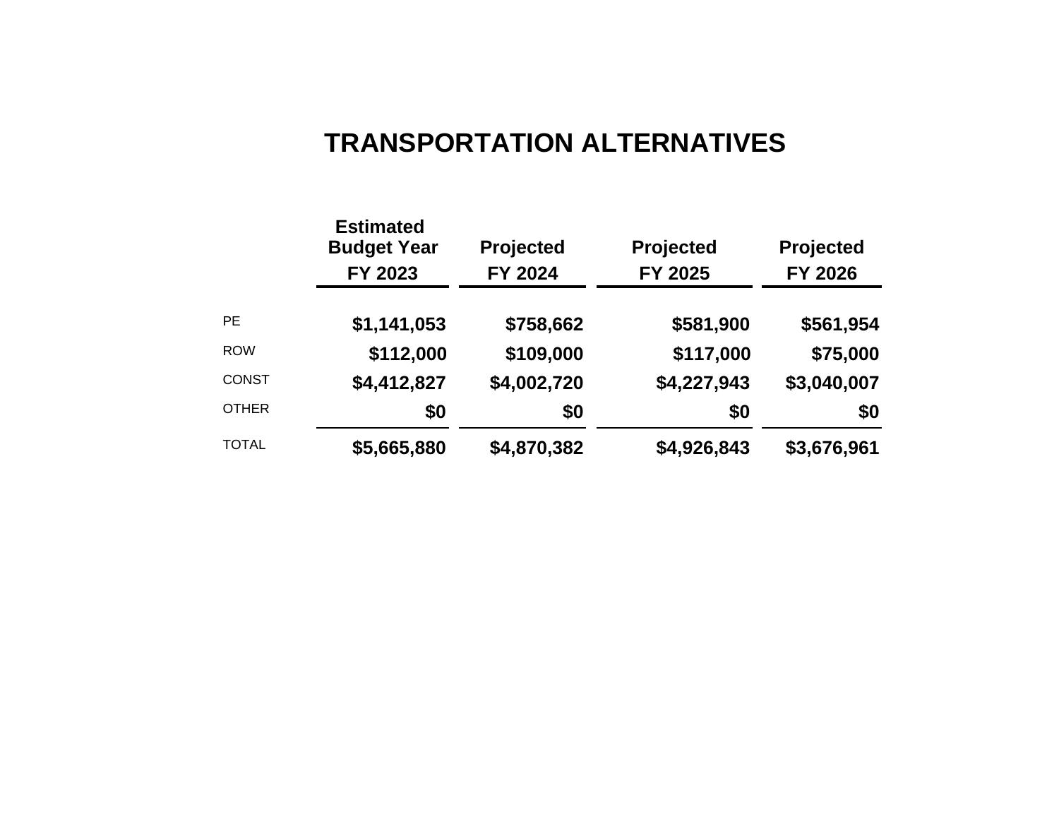# **TRANSPORTATION ALTERNATIVES**

|              | <b>Estimated</b><br><b>Budget Year</b><br>FY 2023 | <b>Projected</b><br>FY 2024 | Projected<br>FY 2025 | <b>Projected</b><br>FY 2026 |
|--------------|---------------------------------------------------|-----------------------------|----------------------|-----------------------------|
| <b>PE</b>    | \$1,141,053                                       | \$758,662                   | \$581,900            | \$561,954                   |
| <b>ROW</b>   | \$112,000                                         | \$109,000                   | \$117,000            | \$75,000                    |
| <b>CONST</b> | \$4,412,827                                       | \$4,002,720                 | \$4,227,943          | \$3,040,007                 |
| <b>OTHER</b> | \$0                                               | \$0                         | \$0                  | \$0                         |
| <b>TOTAL</b> | \$5,665,880                                       | \$4,870,382                 | \$4,926,843          | \$3,676,961                 |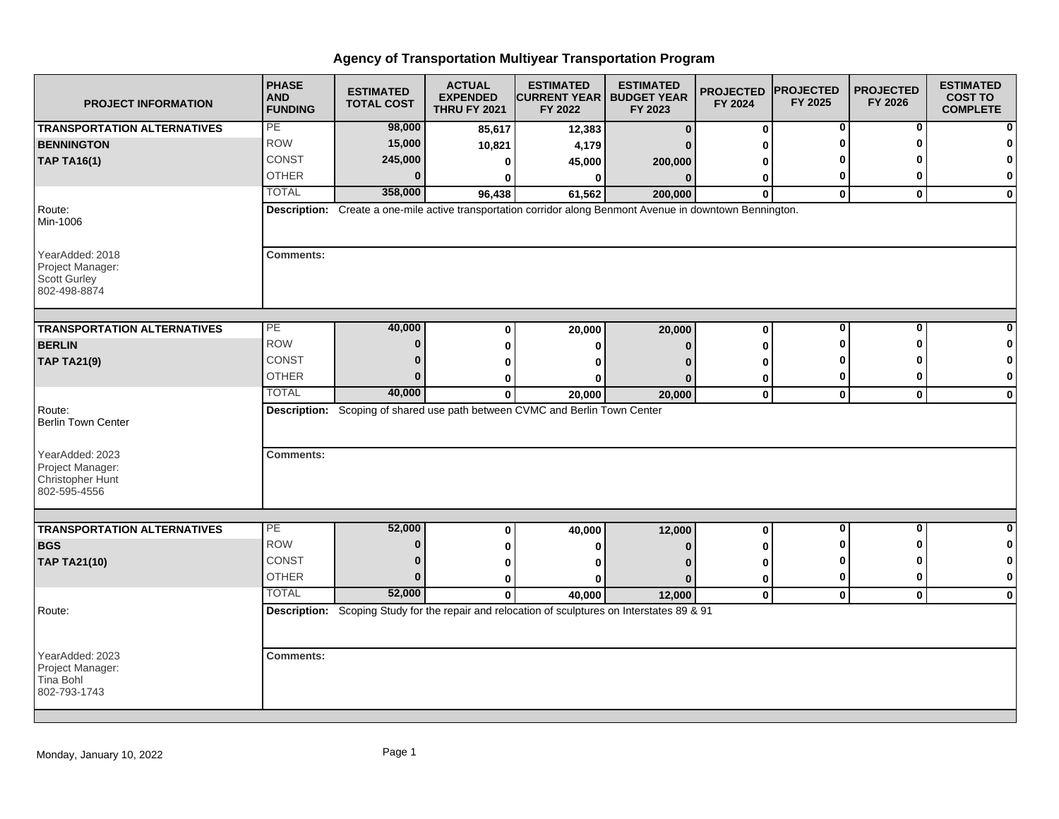| <b>PROJECT INFORMATION</b>                                                 | <b>PHASE</b><br><b>AND</b><br><b>FUNDING</b> | <b>ESTIMATED</b><br><b>TOTAL COST</b> | <b>ACTUAL</b><br><b>EXPENDED</b><br><b>THRU FY 2021</b> | <b>ESTIMATED</b><br><b>CURRENT YEAR</b><br>FY 2022                          | <b>ESTIMATED</b><br><b>BUDGET YEAR</b><br>FY 2023                                                          | <b>PROJECTED</b><br>FY 2024 | <b>IPROJECTED</b><br>FY 2025 | <b>PROJECTED</b><br>FY 2026 | <b>ESTIMATED</b><br><b>COST TO</b><br><b>COMPLETE</b> |
|----------------------------------------------------------------------------|----------------------------------------------|---------------------------------------|---------------------------------------------------------|-----------------------------------------------------------------------------|------------------------------------------------------------------------------------------------------------|-----------------------------|------------------------------|-----------------------------|-------------------------------------------------------|
| <b>TRANSPORTATION ALTERNATIVES</b>                                         | PE                                           | 98,000                                | 85,617                                                  | 12,383                                                                      | $\mathbf{0}$                                                                                               | $\bf{0}$                    | 0                            | 0                           |                                                       |
| <b>BENNINGTON</b>                                                          | <b>ROW</b>                                   | 15,000                                | 10,821                                                  | 4,179                                                                       |                                                                                                            | ŋ                           |                              | ŋ                           |                                                       |
| <b>TAP TA16(1)</b>                                                         | CONST                                        | 245,000                               | 0                                                       | 45,000                                                                      | 200,000                                                                                                    |                             |                              |                             |                                                       |
|                                                                            | <b>OTHER</b>                                 | 0                                     | U                                                       | 0                                                                           | n                                                                                                          | 0                           | 0                            | 0                           | 0                                                     |
|                                                                            | <b>TOTAL</b>                                 | 358,000                               | 96,438                                                  | 61,562                                                                      | 200,000                                                                                                    | $\bf{0}$                    | $\mathbf 0$                  | $\mathbf{0}$                | $\bf{0}$                                              |
| Route:<br>Min-1006                                                         |                                              |                                       |                                                         |                                                                             | Description: Create a one-mile active transportation corridor along Benmont Avenue in downtown Bennington. |                             |                              |                             |                                                       |
| YearAdded: 2018<br>Project Manager:<br><b>Scott Gurley</b><br>802-498-8874 | <b>Comments:</b>                             |                                       |                                                         |                                                                             |                                                                                                            |                             |                              |                             |                                                       |
| <b>TRANSPORTATION ALTERNATIVES</b>                                         | PE                                           | 40,000                                | 0                                                       | 20,000                                                                      | 20,000                                                                                                     | $\bf{0}$                    | 0                            | $\overline{\mathbf{0}}$     |                                                       |
| <b>BERLIN</b>                                                              | <b>ROW</b>                                   | $\bf{0}$                              | 0                                                       |                                                                             |                                                                                                            | O                           |                              | ŋ                           |                                                       |
| <b>TAP TA21(9)</b>                                                         | <b>CONST</b>                                 | $\bf{0}$                              | ŋ                                                       |                                                                             |                                                                                                            |                             |                              |                             |                                                       |
|                                                                            | <b>OTHER</b>                                 | $\Omega$                              | 0                                                       |                                                                             |                                                                                                            | 0                           | 0                            | 0                           | $\bf{0}$                                              |
|                                                                            | <b>TOTAL</b>                                 | 40,000                                | $\bf{0}$                                                | 20,000                                                                      | 20,000                                                                                                     | $\mathbf 0$                 | $\mathbf 0$                  | $\mathbf{0}$                | 0                                                     |
| Route:<br><b>Berlin Town Center</b>                                        |                                              |                                       |                                                         | Description: Scoping of shared use path between CVMC and Berlin Town Center |                                                                                                            |                             |                              |                             |                                                       |
| YearAdded: 2023<br>Project Manager:<br>Christopher Hunt<br>802-595-4556    | <b>Comments:</b>                             |                                       |                                                         |                                                                             |                                                                                                            |                             |                              |                             |                                                       |
|                                                                            | PE                                           | 52,000                                |                                                         |                                                                             |                                                                                                            |                             | 0                            | 0                           | O                                                     |
| <b>TRANSPORTATION ALTERNATIVES</b>                                         |                                              |                                       | 0                                                       | 40,000                                                                      | 12,000                                                                                                     | $\bf{0}$                    |                              |                             |                                                       |
| <b>BGS</b>                                                                 | <b>ROW</b>                                   | 0                                     | 0                                                       |                                                                             |                                                                                                            |                             |                              | ŋ                           | $\mathbf{0}$                                          |
| <b>TAP TA21(10)</b>                                                        | <b>CONST</b><br><b>OTHER</b>                 | 0<br>$\bf{0}$                         | 0                                                       |                                                                             |                                                                                                            | O                           | o                            |                             | 0<br>$\bf{0}$                                         |
|                                                                            | <b>TOTAL</b>                                 |                                       | 0                                                       |                                                                             |                                                                                                            | 0                           | 0                            | 0                           |                                                       |
|                                                                            |                                              | 52,000                                | $\mathbf{0}$                                            | 40,000                                                                      | 12,000                                                                                                     | $\mathbf 0$                 | $\mathbf 0$                  | $\mathbf 0$                 | $\mathbf 0$                                           |
| Route:                                                                     |                                              |                                       |                                                         |                                                                             | Description: Scoping Study for the repair and relocation of sculptures on Interstates 89 & 91              |                             |                              |                             |                                                       |
| YearAdded: 2023<br>Project Manager:<br>Tina Bohl<br>802-793-1743           | <b>Comments:</b>                             |                                       |                                                         |                                                                             |                                                                                                            |                             |                              |                             |                                                       |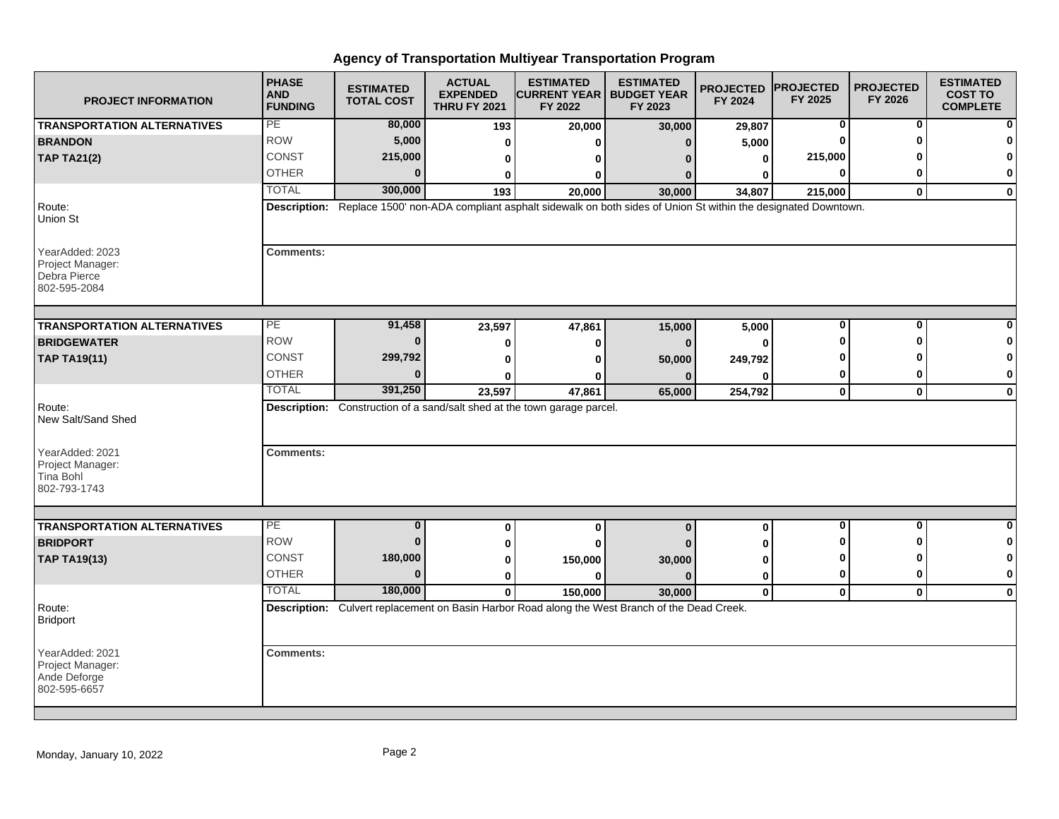| <b>PROJECT INFORMATION</b>                                          | <b>PHASE</b><br><b>AND</b><br><b>FUNDING</b> | <b>ESTIMATED</b><br><b>TOTAL COST</b> | <b>ACTUAL</b><br><b>EXPENDED</b><br><b>THRU FY 2021</b> | <b>ESTIMATED</b><br><b>CURRENT YEAR   BUDGET YEAR</b><br>FY 2022                                                        | <b>ESTIMATED</b><br>FY 2023 | <b>PROJECTED</b><br>FY 2024 | <b>PROJECTED</b><br>FY 2025 | <b>PROJECTED</b><br>FY 2026 | <b>ESTIMATED</b><br><b>COST TO</b><br><b>COMPLETE</b> |
|---------------------------------------------------------------------|----------------------------------------------|---------------------------------------|---------------------------------------------------------|-------------------------------------------------------------------------------------------------------------------------|-----------------------------|-----------------------------|-----------------------------|-----------------------------|-------------------------------------------------------|
| <b>TRANSPORTATION ALTERNATIVES</b>                                  | PE                                           | 80,000                                | 193                                                     | 20,000                                                                                                                  | 30,000                      | 29,807                      | 0                           | 0                           | n                                                     |
| <b>BRANDON</b>                                                      | <b>ROW</b>                                   | 5,000                                 | 0                                                       | ŋ                                                                                                                       | n                           | 5,000                       | O                           | ŋ                           |                                                       |
| <b>TAP TA21(2)</b>                                                  | <b>CONST</b>                                 | 215,000                               | 0                                                       | 0                                                                                                                       |                             | 0                           | 215,000                     |                             | $\Omega$                                              |
|                                                                     | <b>OTHER</b>                                 | $\Omega$                              | 0                                                       | 0                                                                                                                       |                             | O                           | 0                           | ŋ                           | 0                                                     |
|                                                                     | <b>TOTAL</b>                                 | 300,000                               | 193                                                     | 20,000                                                                                                                  | 30,000                      | 34,807                      | 215,000                     | $\mathbf{0}$                | $\mathbf 0$                                           |
| Route:<br>Union St                                                  |                                              |                                       |                                                         | Description: Replace 1500' non-ADA compliant asphalt sidewalk on both sides of Union St within the designated Downtown. |                             |                             |                             |                             |                                                       |
| YearAdded: 2023<br>Project Manager:<br>Debra Pierce<br>802-595-2084 | <b>Comments:</b>                             |                                       |                                                         |                                                                                                                         |                             |                             |                             |                             |                                                       |
| <b>TRANSPORTATION ALTERNATIVES</b>                                  | PE                                           | 91,458                                | 23,597                                                  | 47,861                                                                                                                  | 15,000                      | 5,000                       | 0                           | 0                           |                                                       |
| <b>BRIDGEWATER</b>                                                  | <b>ROW</b>                                   | $\bf{0}$                              | 0                                                       | 0                                                                                                                       | $\bf{0}$                    | $\bf{0}$                    | ŋ                           | ŋ                           | 0                                                     |
| <b>TAP TA19(11)</b>                                                 | <b>CONST</b>                                 | 299,792                               | 0                                                       | O                                                                                                                       | 50,000                      | 249,792                     | ŋ                           |                             | $\mathbf 0$                                           |
|                                                                     | <b>OTHER</b>                                 | $\Omega$                              | 0                                                       | o                                                                                                                       |                             | O                           | 0                           | 0                           | 0                                                     |
|                                                                     | <b>TOTAL</b>                                 | 391,250                               | 23,597                                                  | 47,861                                                                                                                  | 65,000                      | 254,792                     | $\mathbf 0$                 | $\mathbf 0$                 | $\mathbf 0$                                           |
| Route:<br>New Salt/Sand Shed                                        |                                              |                                       |                                                         | Description: Construction of a sand/salt shed at the town garage parcel.                                                |                             |                             |                             |                             |                                                       |
| YearAdded: 2021<br>Project Manager:<br>Tina Bohl<br>802-793-1743    | <b>Comments:</b>                             |                                       |                                                         |                                                                                                                         |                             |                             |                             |                             |                                                       |
|                                                                     |                                              |                                       |                                                         |                                                                                                                         |                             |                             |                             |                             |                                                       |
| <b>TRANSPORTATION ALTERNATIVES</b>                                  | PE                                           | $\overline{\mathbf{0}}$               | 0                                                       | 0                                                                                                                       | $\bf{0}$                    | 0                           | $\overline{\mathbf{0}}$     | $\mathbf 0$                 | $\bf{0}$                                              |
| <b>BRIDPORT</b>                                                     | <b>ROW</b>                                   | $\bf{0}$                              | 0                                                       | 0                                                                                                                       |                             | U                           | n                           | ŋ                           | 0                                                     |
| <b>TAP TA19(13)</b>                                                 | <b>CONST</b>                                 | 180,000                               | 0                                                       | 150,000                                                                                                                 | 30,000                      | 0                           | ŋ                           | ŋ                           | 0                                                     |
|                                                                     | <b>OTHER</b>                                 | $\bf{0}$                              | $\bf{0}$                                                | $\bf{0}$                                                                                                                | $\Omega$                    | 0                           | 0                           | 0                           | $\bf{0}$                                              |
|                                                                     | <b>TOTAL</b>                                 | 180,000                               | $\mathbf{0}$                                            | 150,000                                                                                                                 | 30,000                      | $\mathbf 0$                 | $\mathbf 0$                 | $\mathbf 0$                 | $\mathbf{0}$                                          |
| Route:<br><b>Bridport</b>                                           |                                              |                                       |                                                         | Description: Culvert replacement on Basin Harbor Road along the West Branch of the Dead Creek.                          |                             |                             |                             |                             |                                                       |
| YearAdded: 2021<br>Project Manager:<br>Ande Deforge<br>802-595-6657 | <b>Comments:</b>                             |                                       |                                                         |                                                                                                                         |                             |                             |                             |                             |                                                       |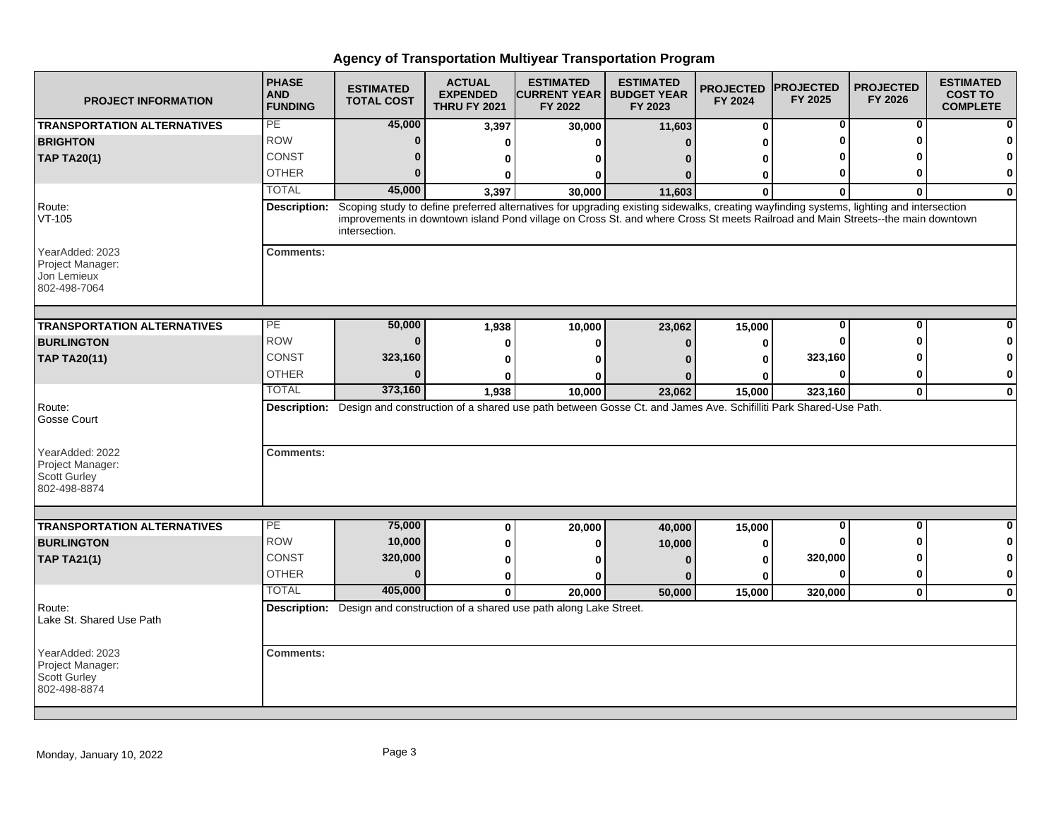| <b>PROJECT INFORMATION</b>                                                 | <b>PHASE</b><br><b>AND</b><br><b>FUNDING</b> | <b>ESTIMATED</b><br><b>TOTAL COST</b> | <b>ACTUAL</b><br><b>EXPENDED</b><br><b>THRU FY 2021</b> | <b>ESTIMATED</b><br><b>CURRENT YEAR   BUDGET YEAR</b><br>FY 2022                                                                                                                                                                                                           | <b>ESTIMATED</b><br>FY 2023 | <b>PROJECTED</b><br>FY 2024 | <b>PROJECTED</b><br>FY 2025 | <b>PROJECTED</b><br>FY 2026 | <b>ESTIMATED</b><br><b>COST TO</b><br><b>COMPLETE</b> |
|----------------------------------------------------------------------------|----------------------------------------------|---------------------------------------|---------------------------------------------------------|----------------------------------------------------------------------------------------------------------------------------------------------------------------------------------------------------------------------------------------------------------------------------|-----------------------------|-----------------------------|-----------------------------|-----------------------------|-------------------------------------------------------|
| <b>TRANSPORTATION ALTERNATIVES</b>                                         | PE                                           | 45,000                                | 3,397                                                   | 30,000                                                                                                                                                                                                                                                                     | 11,603                      | $\bf{0}$                    | 0                           | 0                           |                                                       |
| <b>BRIGHTON</b>                                                            | <b>ROW</b>                                   | $\mathbf{0}$                          | ŋ                                                       | O                                                                                                                                                                                                                                                                          | $\Omega$                    |                             |                             | O                           |                                                       |
| <b>TAP TA20(1)</b>                                                         | <b>CONST</b>                                 | $\bf{0}$                              | 0                                                       | O                                                                                                                                                                                                                                                                          | n                           |                             |                             |                             |                                                       |
|                                                                            | <b>OTHER</b>                                 | $\bf{0}$                              | O                                                       | 0                                                                                                                                                                                                                                                                          | n                           | ŋ                           |                             | O                           | 0                                                     |
|                                                                            | <b>TOTAL</b>                                 | 45,000                                | 3,397                                                   | 30.000                                                                                                                                                                                                                                                                     | 11,603                      | O                           |                             |                             | $\Omega$                                              |
| Route:<br>VT-105                                                           | Description:                                 | intersection.                         |                                                         | Scoping study to define preferred alternatives for upgrading existing sidewalks, creating wayfinding systems, lighting and intersection<br>improvements in downtown island Pond village on Cross St. and where Cross St meets Railroad and Main Streets--the main downtown |                             |                             |                             |                             |                                                       |
| YearAdded: 2023<br>Project Manager:<br>Jon Lemieux<br>802-498-7064         | <b>Comments:</b>                             |                                       |                                                         |                                                                                                                                                                                                                                                                            |                             |                             |                             |                             |                                                       |
| <b>TRANSPORTATION ALTERNATIVES</b>                                         | PE                                           | 50,000                                | 1,938                                                   | 10,000                                                                                                                                                                                                                                                                     | 23,062                      | 15,000                      |                             | $\bf{0}$                    |                                                       |
| <b>BURLINGTON</b>                                                          | <b>ROW</b>                                   | $\bf{0}$                              | O                                                       | O                                                                                                                                                                                                                                                                          | $\mathbf{0}$                | O                           |                             | n                           |                                                       |
| <b>TAP TA20(11)</b>                                                        | <b>CONST</b>                                 | 323,160                               |                                                         | O                                                                                                                                                                                                                                                                          |                             |                             | 323,160                     |                             |                                                       |
|                                                                            | <b>OTHER</b>                                 | $\mathbf{0}$                          |                                                         | O                                                                                                                                                                                                                                                                          |                             |                             |                             | 0                           | 0                                                     |
|                                                                            | <b>TOTAL</b>                                 | 373,160                               | 1,938                                                   | 10,000                                                                                                                                                                                                                                                                     | 23,062                      | 15,000                      | 323,160                     | $\mathbf 0$                 | $\mathbf{0}$                                          |
| Route:<br>Gosse Court                                                      |                                              |                                       |                                                         | Description: Design and construction of a shared use path between Gosse Ct. and James Ave. Schifilliti Park Shared-Use Path.                                                                                                                                               |                             |                             |                             |                             |                                                       |
| YearAdded: 2022<br>Project Manager:<br>Scott Gurley<br>802-498-8874        | <b>Comments:</b>                             |                                       |                                                         |                                                                                                                                                                                                                                                                            |                             |                             |                             |                             |                                                       |
|                                                                            |                                              |                                       |                                                         |                                                                                                                                                                                                                                                                            |                             |                             |                             |                             |                                                       |
| <b>TRANSPORTATION ALTERNATIVES</b>                                         | PE<br><b>ROW</b>                             | 75,000                                | $\bf{0}$                                                | 20,000                                                                                                                                                                                                                                                                     | 40,000                      | 15,000                      | $\bf{0}$                    | $\mathbf 0$                 | ŋ                                                     |
| <b>BURLINGTON</b>                                                          |                                              | 10,000                                |                                                         | 0                                                                                                                                                                                                                                                                          | 10,000                      | 0                           |                             | ŋ                           | 0                                                     |
| <b>TAP TA21(1)</b>                                                         | <b>CONST</b>                                 | 320,000                               |                                                         | n                                                                                                                                                                                                                                                                          | $\Omega$                    | Λ                           | 320,000                     | O                           |                                                       |
|                                                                            | <b>OTHER</b>                                 | $\bf{0}$                              | $\bf{0}$                                                | ŋ                                                                                                                                                                                                                                                                          | $\Omega$                    | U                           |                             | $\mathbf 0$                 | 0                                                     |
|                                                                            | <b>TOTAL</b>                                 | 405,000                               | $\Omega$                                                | 20,000                                                                                                                                                                                                                                                                     | 50,000                      | 15,000                      | 320,000                     | $\mathbf 0$                 | $\Omega$                                              |
| Route:<br>Lake St. Shared Use Path                                         |                                              |                                       |                                                         | Description: Design and construction of a shared use path along Lake Street.                                                                                                                                                                                               |                             |                             |                             |                             |                                                       |
| YearAdded: 2023<br>Project Manager:<br><b>Scott Gurley</b><br>802-498-8874 | <b>Comments:</b>                             |                                       |                                                         |                                                                                                                                                                                                                                                                            |                             |                             |                             |                             |                                                       |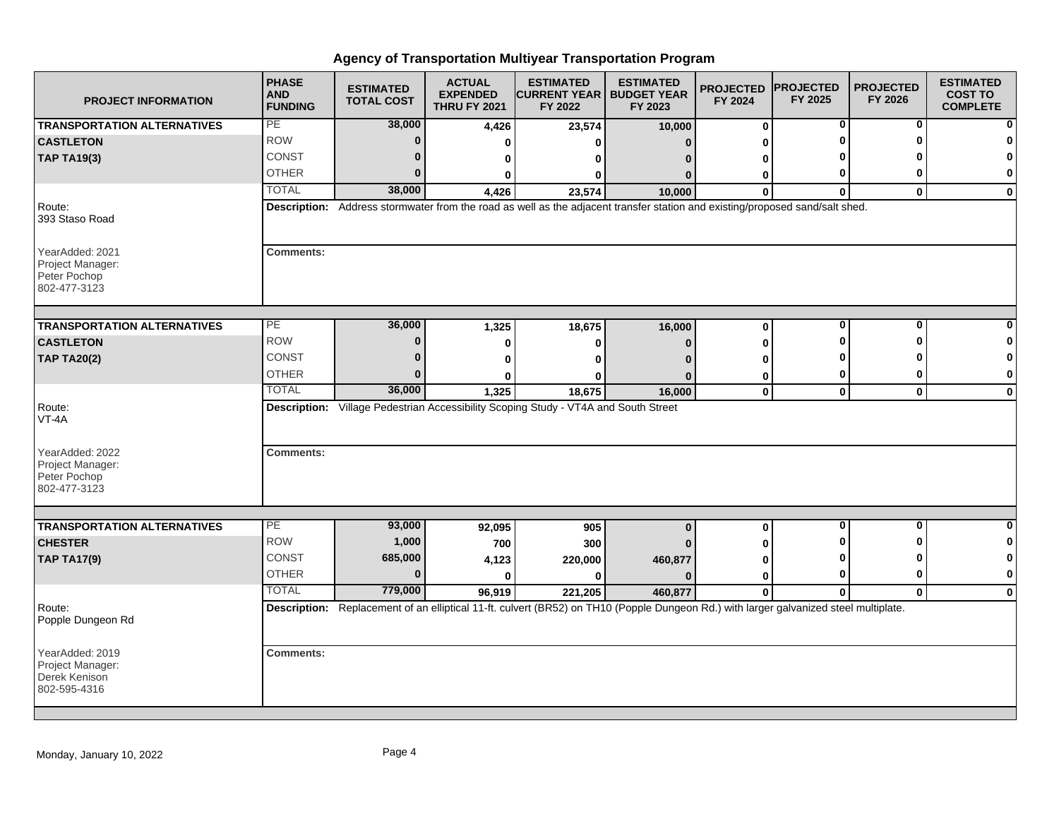| <b>PROJECT INFORMATION</b>                                           | <b>PHASE</b><br><b>AND</b><br><b>FUNDING</b> | <b>ESTIMATED</b><br><b>TOTAL COST</b> | <b>ACTUAL</b><br><b>EXPENDED</b><br><b>THRU FY 2021</b> | <b>ESTIMATED</b><br><b>CURRENT YEAR   BUDGET YEAR</b><br>FY 2022                                                                      | <b>ESTIMATED</b><br>FY 2023 | <b>PROJECTED</b><br>FY 2024 | <b>PROJECTED</b><br>FY 2025 | <b>PROJECTED</b><br>FY 2026 | <b>ESTIMATED</b><br><b>COST TO</b><br><b>COMPLETE</b> |
|----------------------------------------------------------------------|----------------------------------------------|---------------------------------------|---------------------------------------------------------|---------------------------------------------------------------------------------------------------------------------------------------|-----------------------------|-----------------------------|-----------------------------|-----------------------------|-------------------------------------------------------|
| <b>TRANSPORTATION ALTERNATIVES</b>                                   | PE                                           | 38,000                                | 4,426                                                   | 23,574                                                                                                                                | 10,000                      | $\bf{0}$                    | 0                           | 0                           |                                                       |
| <b>CASTLETON</b>                                                     | <b>ROW</b>                                   | $\bf{0}$                              | ŋ                                                       | ŋ                                                                                                                                     | n                           |                             |                             | ŋ                           |                                                       |
| <b>TAP TA19(3)</b>                                                   | CONST                                        | 0                                     | 0                                                       | ŋ                                                                                                                                     |                             |                             |                             |                             | 0                                                     |
|                                                                      | <b>OTHER</b>                                 | 0                                     | 0                                                       | 0                                                                                                                                     | $\Omega$                    | 0                           |                             |                             | 0                                                     |
|                                                                      | <b>TOTAL</b>                                 | 38,000                                | 4,426                                                   | 23,574                                                                                                                                | 10,000                      | $\Omega$                    | $\Omega$                    | $\bf{0}$                    | 0                                                     |
| Route:<br>393 Staso Road                                             |                                              |                                       |                                                         | Description: Address stormwater from the road as well as the adjacent transfer station and existing/proposed sand/salt shed.          |                             |                             |                             |                             |                                                       |
| YearAdded: 2021<br>Project Manager:<br>Peter Pochop<br>802-477-3123  | <b>Comments:</b>                             |                                       |                                                         |                                                                                                                                       |                             |                             |                             |                             |                                                       |
| <b>TRANSPORTATION ALTERNATIVES</b>                                   | PE                                           | 36,000                                |                                                         |                                                                                                                                       |                             | $\bf{0}$                    | 0                           | 0                           |                                                       |
| <b>CASTLETON</b>                                                     | <b>ROW</b>                                   | $\bf{0}$                              | 1,325                                                   | 18,675                                                                                                                                | 16,000                      |                             |                             |                             | 0                                                     |
|                                                                      | <b>CONST</b>                                 | 0                                     | 0                                                       | O                                                                                                                                     | $\Omega$                    |                             |                             |                             | $\bf{0}$                                              |
| <b>TAP TA20(2)</b>                                                   | <b>OTHER</b>                                 | U                                     | 0                                                       | n                                                                                                                                     |                             |                             | 0                           | ŋ                           | 0                                                     |
|                                                                      | <b>TOTAL</b>                                 | 36,000                                | 1,325                                                   | 0<br>18,675                                                                                                                           | 16,000                      | 0<br>$\mathbf 0$            | 0                           | $\bf{0}$                    | 0                                                     |
| Route:<br>VT-4A                                                      |                                              |                                       |                                                         | Description: Village Pedestrian Accessibility Scoping Study - VT4A and South Street                                                   |                             |                             |                             |                             |                                                       |
| YearAdded: 2022<br>Project Manager:<br>Peter Pochop<br>802-477-3123  | <b>Comments:</b>                             |                                       |                                                         |                                                                                                                                       |                             |                             |                             |                             |                                                       |
| <b>TRANSPORTATION ALTERNATIVES</b>                                   | PE                                           | 93,000                                | 92,095                                                  | 905                                                                                                                                   | $\bf{0}$                    | 0                           | 0                           | O                           | 0                                                     |
| <b>CHESTER</b>                                                       | <b>ROW</b>                                   | 1,000                                 | 700                                                     | 300                                                                                                                                   |                             |                             |                             |                             | 0                                                     |
| <b>TAP TA17(9)</b>                                                   | <b>CONST</b>                                 | 685,000                               | 4,123                                                   | 220,000                                                                                                                               | 460,877                     |                             |                             |                             | 0                                                     |
|                                                                      | <b>OTHER</b>                                 | $\bf{0}$                              | $\bf{0}$                                                | O                                                                                                                                     | $\Omega$                    | 0                           | ŋ                           | 0                           | 0                                                     |
|                                                                      | <b>TOTAL</b>                                 | 779,000                               | 96,919                                                  | 221,205                                                                                                                               | 460,877                     | $\bf{0}$                    | $\mathbf{0}$                | $\mathbf{0}$                | $\mathbf 0$                                           |
| Route:<br>Popple Dungeon Rd                                          |                                              |                                       |                                                         | Description: Replacement of an elliptical 11-ft. culvert (BR52) on TH10 (Popple Dungeon Rd.) with larger galvanized steel multiplate. |                             |                             |                             |                             |                                                       |
| YearAdded: 2019<br>Project Manager:<br>Derek Kenison<br>802-595-4316 | <b>Comments:</b>                             |                                       |                                                         |                                                                                                                                       |                             |                             |                             |                             |                                                       |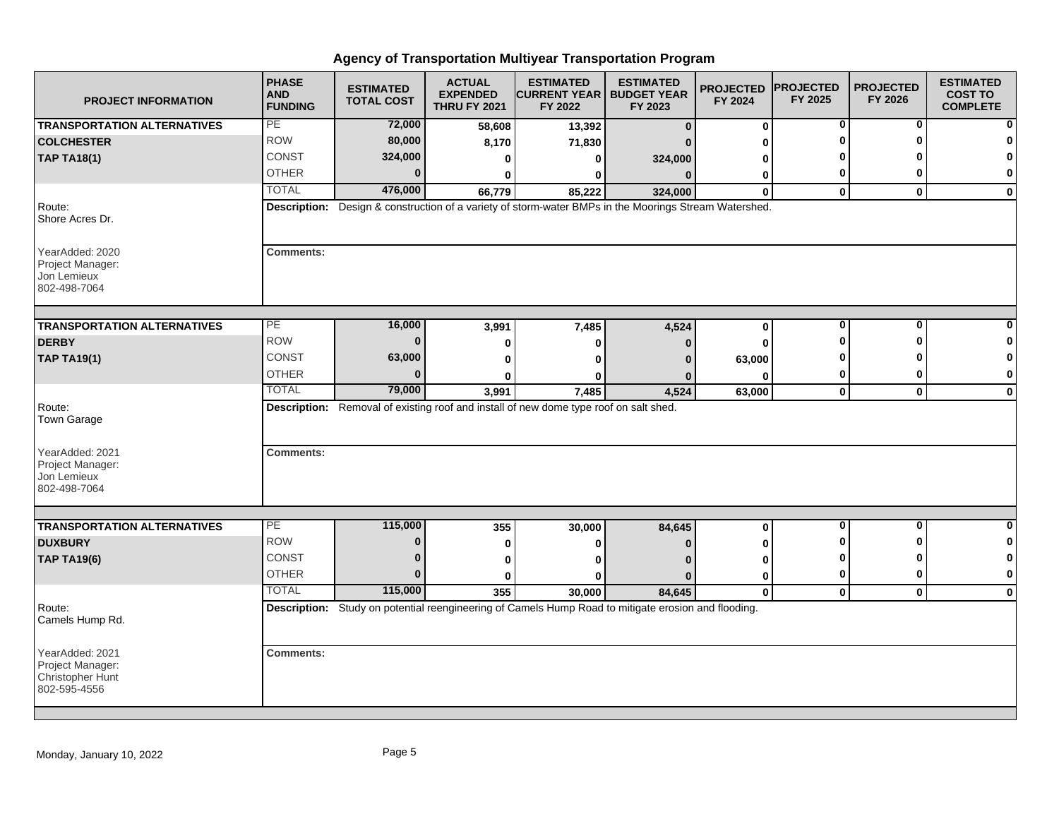| <b>PROJECT INFORMATION</b>                                              | <b>PHASE</b><br><b>AND</b><br><b>FUNDING</b> | <b>ESTIMATED</b><br><b>TOTAL COST</b> | <b>ACTUAL</b><br><b>EXPENDED</b><br><b>THRU FY 2021</b> | <b>ESTIMATED</b><br><b>CURRENT YEAR  </b><br>FY 2022                                                          | <b>ESTIMATED</b><br><b>BUDGET YEAR</b><br>FY 2023 | <b>PROJECTED</b><br>FY 2024 | <b>PROJECTED</b><br>FY 2025 | <b>PROJECTED</b><br>FY 2026 | <b>ESTIMATED</b><br><b>COST TO</b><br><b>COMPLETE</b> |
|-------------------------------------------------------------------------|----------------------------------------------|---------------------------------------|---------------------------------------------------------|---------------------------------------------------------------------------------------------------------------|---------------------------------------------------|-----------------------------|-----------------------------|-----------------------------|-------------------------------------------------------|
| <b>TRANSPORTATION ALTERNATIVES</b>                                      | PE                                           | 72,000                                | 58,608                                                  | 13,392                                                                                                        | $\Omega$                                          | 0                           | 0                           | 0                           |                                                       |
| <b>COLCHESTER</b>                                                       | <b>ROW</b>                                   | 80,000                                | 8,170                                                   | 71,830                                                                                                        |                                                   | 0                           | ŋ                           | ŋ                           |                                                       |
| <b>TAP TA18(1)</b>                                                      | CONST                                        | 324,000                               | 0                                                       | 0                                                                                                             | 324,000                                           | 0                           |                             |                             |                                                       |
|                                                                         | <b>OTHER</b>                                 | $\bf{0}$                              | $\bf{0}$                                                | 0                                                                                                             | $\Omega$                                          | 0                           | 0                           | 0                           | 0                                                     |
|                                                                         | <b>TOTAL</b>                                 | 476,000                               | 66,779                                                  | 85,222                                                                                                        | 324,000                                           | $\bf{0}$                    | $\mathbf{0}$                | $\mathbf{0}$                | $\mathbf 0$                                           |
| Route:<br>Shore Acres Dr.                                               | <b>Description:</b>                          |                                       |                                                         | Design & construction of a variety of storm-water BMPs in the Moorings Stream Watershed.                      |                                                   |                             |                             |                             |                                                       |
| YearAdded: 2020<br>Project Manager:<br>Jon Lemieux<br>802-498-7064      | <b>Comments:</b>                             |                                       |                                                         |                                                                                                               |                                                   |                             |                             |                             |                                                       |
| <b>TRANSPORTATION ALTERNATIVES</b>                                      | $\overline{PE}$                              | 16,000                                | 3,991                                                   | 7,485                                                                                                         | 4,524                                             | 0                           | 0                           | 0                           |                                                       |
| <b>DERBY</b>                                                            | <b>ROW</b>                                   | $\bf{0}$                              | 0                                                       | 0                                                                                                             |                                                   | $\bf{0}$                    | 0                           | ŋ                           |                                                       |
| <b>TAP TA19(1)</b>                                                      | <b>CONST</b>                                 | 63,000                                | 0                                                       | ŋ                                                                                                             |                                                   | 63,000                      |                             |                             |                                                       |
|                                                                         | <b>OTHER</b>                                 | $\bf{0}$                              |                                                         | o                                                                                                             |                                                   | O                           | 0                           | 0                           | $\mathbf 0$                                           |
|                                                                         | <b>TOTAL</b>                                 | 79,000                                | 3,991                                                   | 7,485                                                                                                         | 4,524                                             | 63,000                      | $\mathbf 0$                 | $\mathbf 0$                 | $\bf{0}$                                              |
| Route:<br>Town Garage                                                   |                                              |                                       |                                                         | Description: Removal of existing roof and install of new dome type roof on salt shed.                         |                                                   |                             |                             |                             |                                                       |
| YearAdded: 2021<br>Project Manager:<br>Jon Lemieux<br>802-498-7064      | <b>Comments:</b>                             |                                       |                                                         |                                                                                                               |                                                   |                             |                             |                             |                                                       |
|                                                                         |                                              |                                       |                                                         |                                                                                                               |                                                   |                             |                             |                             |                                                       |
| <b>TRANSPORTATION ALTERNATIVES</b>                                      | PE<br><b>ROW</b>                             | 115,000<br>$\bf{0}$                   | 355                                                     | 30,000                                                                                                        | 84,645                                            | 0                           | $\mathbf 0$<br>0            | $\bf{0}$<br>ŋ               | $\bf{0}$                                              |
| <b>DUXBURY</b>                                                          | <b>CONST</b>                                 | $\bf{0}$                              | 0                                                       | o                                                                                                             |                                                   | $\bf{0}$                    | O                           | ŋ                           |                                                       |
| <b>TAP TA19(6)</b>                                                      | <b>OTHER</b>                                 | $\bf{0}$                              | 0                                                       | ŋ                                                                                                             |                                                   | 0                           | 0                           | 0                           | $\bf{0}$                                              |
|                                                                         | <b>TOTAL</b>                                 | 115,000                               | 0                                                       | ŋ                                                                                                             | n                                                 | 0                           |                             |                             |                                                       |
|                                                                         |                                              |                                       | 355                                                     | 30.000<br>Description: Study on potential reengineering of Camels Hump Road to mitigate erosion and flooding. | 84,645                                            | $\bf{0}$                    | $\mathbf 0$                 | $\mathbf 0$                 | $\mathbf 0$                                           |
| Route:<br>Camels Hump Rd.                                               |                                              |                                       |                                                         |                                                                                                               |                                                   |                             |                             |                             |                                                       |
| YearAdded: 2021<br>Project Manager:<br>Christopher Hunt<br>802-595-4556 | <b>Comments:</b>                             |                                       |                                                         |                                                                                                               |                                                   |                             |                             |                             |                                                       |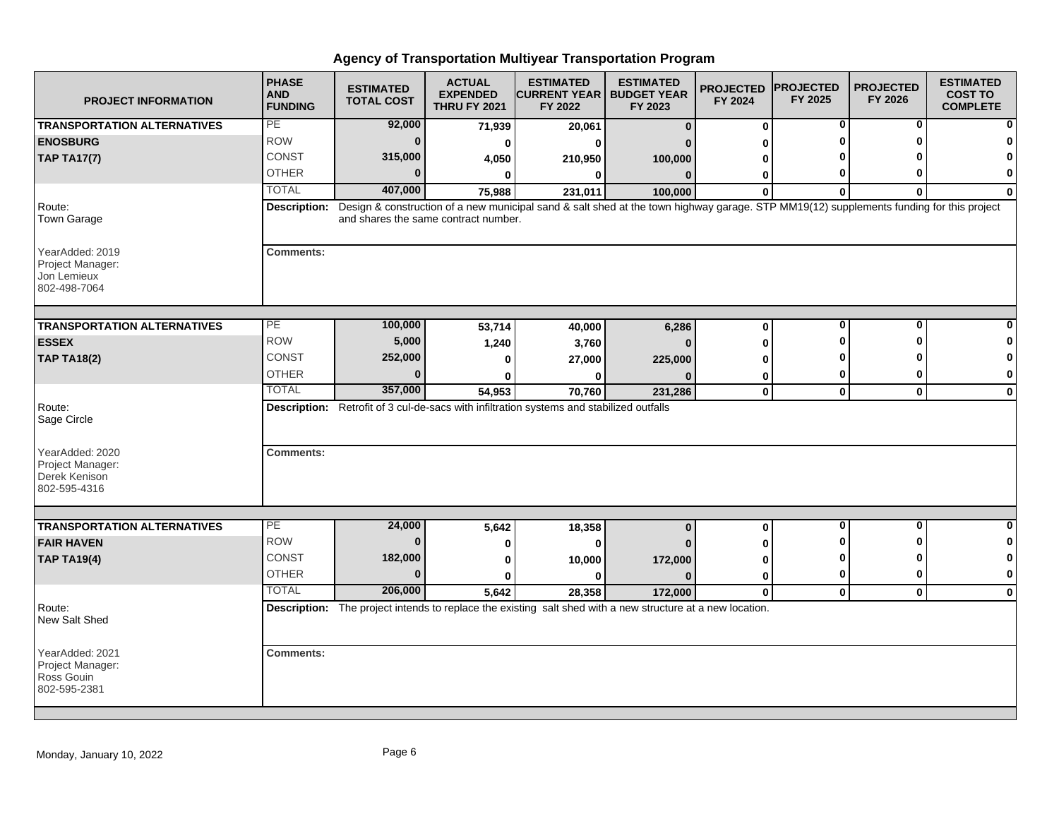| <b>PROJECT INFORMATION</b>                                           | <b>PHASE</b><br><b>AND</b><br><b>FUNDING</b> | <b>ESTIMATED</b><br><b>TOTAL COST</b> | <b>ACTUAL</b><br><b>EXPENDED</b><br><b>THRU FY 2021</b> | <b>ESTIMATED</b><br><b>CURRENT YEAR   BUDGET YEAR</b><br>FY 2022                                                                        | <b>ESTIMATED</b><br>FY 2023 | <b>PROJECTED</b><br>FY 2024 | <b>PROJECTED</b><br>FY 2025 | <b>PROJECTED</b><br>FY 2026 | <b>ESTIMATED</b><br><b>COST TO</b><br><b>COMPLETE</b> |
|----------------------------------------------------------------------|----------------------------------------------|---------------------------------------|---------------------------------------------------------|-----------------------------------------------------------------------------------------------------------------------------------------|-----------------------------|-----------------------------|-----------------------------|-----------------------------|-------------------------------------------------------|
| <b>TRANSPORTATION ALTERNATIVES</b>                                   | PE                                           | 92,000                                | 71,939                                                  | 20,061                                                                                                                                  | $\bf{0}$                    | 0                           | 0                           | 0                           |                                                       |
| <b>ENOSBURG</b>                                                      | <b>ROW</b>                                   | $\bf{0}$                              | 0                                                       | ŋ                                                                                                                                       |                             | ŋ                           | ŋ                           | ŋ                           |                                                       |
| <b>TAP TA17(7)</b>                                                   | <b>CONST</b>                                 | 315,000                               | 4,050                                                   | 210,950                                                                                                                                 | 100,000                     | 0                           |                             |                             |                                                       |
|                                                                      | <b>OTHER</b>                                 | $\Omega$                              | 0                                                       | 0                                                                                                                                       | $\mathbf{0}$                | 0                           | 0                           | ŋ                           | 0                                                     |
|                                                                      | <b>TOTAL</b>                                 | 407,000                               | 75,988                                                  | 231,011                                                                                                                                 | 100,000                     | $\bf{0}$                    | $\bf{0}$                    | $\bf{0}$                    | $\bf{0}$                                              |
| Route:<br>Town Garage                                                | <b>Description:</b>                          | and shares the same contract number.  |                                                         | Design & construction of a new municipal sand & salt shed at the town highway garage. STP MM19(12) supplements funding for this project |                             |                             |                             |                             |                                                       |
| YearAdded: 2019<br>Project Manager:<br>Jon Lemieux<br>802-498-7064   | <b>Comments:</b>                             |                                       |                                                         |                                                                                                                                         |                             |                             |                             |                             |                                                       |
| <b>TRANSPORTATION ALTERNATIVES</b>                                   | PЕ                                           | 100,000                               | 53,714                                                  | 40,000                                                                                                                                  | 6,286                       | 0                           | $\bf{0}$                    | $\bf{0}$                    |                                                       |
| <b>ESSEX</b>                                                         | <b>ROW</b>                                   | 5,000                                 | 1,240                                                   | 3,760                                                                                                                                   |                             | 0                           | ŋ                           | ŋ                           |                                                       |
| <b>TAP TA18(2)</b>                                                   | CONST                                        | 252,000                               | 0                                                       | 27,000                                                                                                                                  | 225,000                     | O                           |                             |                             | n                                                     |
|                                                                      | <b>OTHER</b>                                 | $\Omega$                              |                                                         |                                                                                                                                         |                             | 0                           | 0                           | 0                           | 0                                                     |
|                                                                      | <b>TOTAL</b>                                 | 357,000                               | 54,953                                                  | 70,760                                                                                                                                  | 231,286                     | $\pmb{0}$                   | $\mathbf{0}$                | $\mathbf 0$                 | $\mathbf 0$                                           |
| Route:<br>Sage Circle                                                |                                              |                                       |                                                         | Description: Retrofit of 3 cul-de-sacs with infiltration systems and stabilized outfalls                                                |                             |                             |                             |                             |                                                       |
| YearAdded: 2020<br>Project Manager:<br>Derek Kenison<br>802-595-4316 | <b>Comments:</b>                             |                                       |                                                         |                                                                                                                                         |                             |                             |                             |                             |                                                       |
|                                                                      | PE                                           |                                       |                                                         |                                                                                                                                         |                             |                             | $\mathbf 0$                 | $\mathbf{0}$                | $\bf{0}$                                              |
| <b>TRANSPORTATION ALTERNATIVES</b>                                   | <b>ROW</b>                                   | 24,000<br>$\bf{0}$                    | 5,642                                                   | 18,358                                                                                                                                  | $\bf{0}$                    | 0                           | O                           | ŋ                           | 0                                                     |
| <b>FAIR HAVEN</b>                                                    | CONST                                        | 182,000                               | 0                                                       | 0                                                                                                                                       |                             | 0                           | ŋ                           | ŋ                           | 0                                                     |
| <b>TAP TA19(4)</b>                                                   | <b>OTHER</b>                                 | $\bf{0}$                              | 0                                                       | 10,000                                                                                                                                  | 172,000                     | 0                           | 0                           | 0                           | 0                                                     |
|                                                                      | <b>TOTAL</b>                                 | 206,000                               | $\bf{0}$                                                | $\bf{0}$                                                                                                                                | $\Omega$                    | 0                           |                             |                             |                                                       |
| Route:<br>New Salt Shed                                              |                                              |                                       | 5,642                                                   | 28.358<br>Description: The project intends to replace the existing salt shed with a new structure at a new location.                    | 172,000                     | $\mathbf{0}$                | $\mathbf{0}$                | $\mathbf{0}$                | $\mathbf{0}$                                          |
|                                                                      |                                              |                                       |                                                         |                                                                                                                                         |                             |                             |                             |                             |                                                       |
| YearAdded: 2021<br>Project Manager:<br>Ross Gouin<br>802-595-2381    | <b>Comments:</b>                             |                                       |                                                         |                                                                                                                                         |                             |                             |                             |                             |                                                       |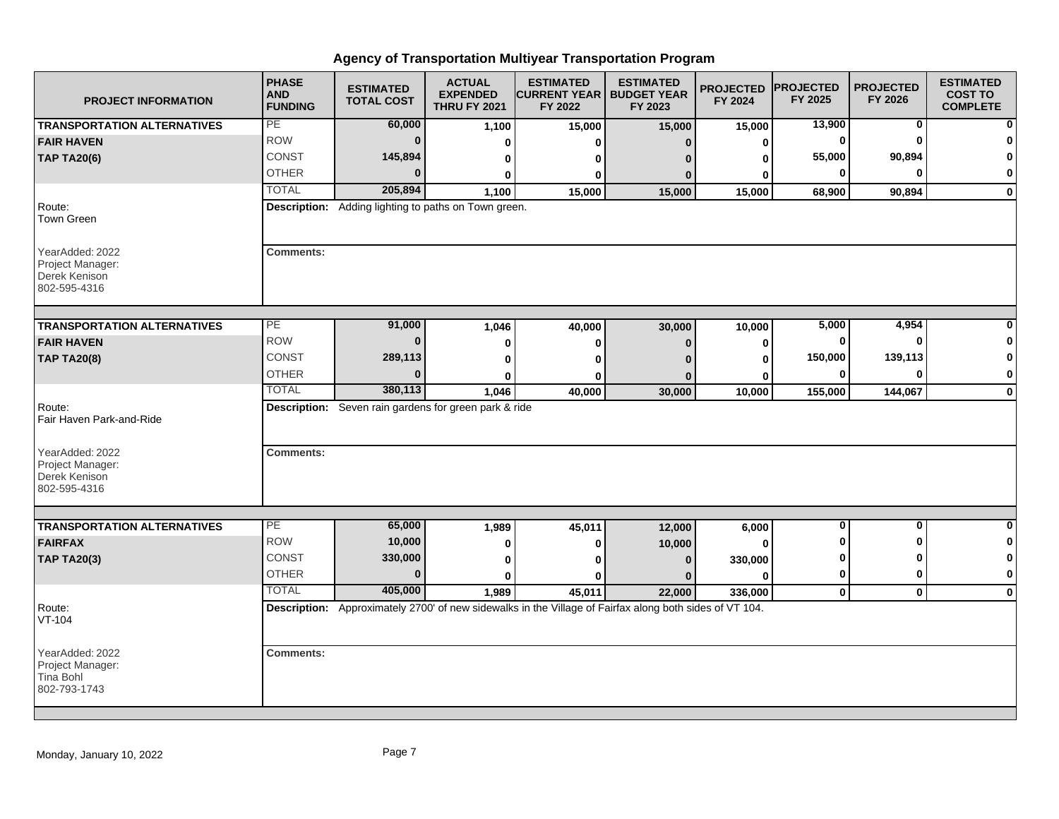| <b>PROJECT INFORMATION</b>                                           | <b>PHASE</b><br><b>AND</b><br><b>FUNDING</b> | <b>ESTIMATED</b><br><b>TOTAL COST</b>                 | <b>ACTUAL</b><br><b>EXPENDED</b><br><b>THRU FY 2021</b> | <b>ESTIMATED</b><br><b>CURRENT YEAR   BUDGET YEAR</b><br>FY 2022 | <b>ESTIMATED</b><br>FY 2023                                                                             | <b>PROJECTED</b><br>FY 2024 | <b>PROJECTED</b><br>FY 2025 | <b>PROJECTED</b><br>FY 2026 | <b>ESTIMATED</b><br><b>COST TO</b><br><b>COMPLETE</b> |
|----------------------------------------------------------------------|----------------------------------------------|-------------------------------------------------------|---------------------------------------------------------|------------------------------------------------------------------|---------------------------------------------------------------------------------------------------------|-----------------------------|-----------------------------|-----------------------------|-------------------------------------------------------|
| <b>TRANSPORTATION ALTERNATIVES</b>                                   | PE                                           | 60,000                                                | 1,100                                                   | 15,000                                                           | 15,000                                                                                                  | 15,000                      | 13,900                      | $\mathbf 0$                 |                                                       |
| <b>FAIR HAVEN</b>                                                    | <b>ROW</b>                                   | $\bf{0}$                                              | 0                                                       | U                                                                | n                                                                                                       | 0                           | 0                           | $\Omega$                    |                                                       |
| <b>TAP TA20(6)</b>                                                   | CONST                                        | 145,894                                               | 0                                                       | 0                                                                |                                                                                                         | 0                           | 55,000                      | 90,894                      | $\Omega$                                              |
|                                                                      | <b>OTHER</b>                                 | $\Omega$                                              | 0                                                       | 0                                                                |                                                                                                         | 0                           | 0                           | ŋ                           | 0                                                     |
|                                                                      | <b>TOTAL</b>                                 | 205,894                                               | 1,100                                                   | 15,000                                                           | 15,000                                                                                                  | 15,000                      | 68,900                      | 90,894                      | $\mathbf 0$                                           |
| Route:<br><b>Town Green</b>                                          |                                              | Description: Adding lighting to paths on Town green.  |                                                         |                                                                  |                                                                                                         |                             |                             |                             |                                                       |
| YearAdded: 2022<br>Project Manager:<br>Derek Kenison<br>802-595-4316 | <b>Comments:</b>                             |                                                       |                                                         |                                                                  |                                                                                                         |                             |                             |                             |                                                       |
| <b>TRANSPORTATION ALTERNATIVES</b>                                   | PE                                           | 91,000                                                |                                                         |                                                                  |                                                                                                         |                             | 5,000                       | 4,954                       |                                                       |
| <b>FAIR HAVEN</b>                                                    | <b>ROW</b>                                   | $\bf{0}$                                              | 1,046                                                   | 40,000                                                           | 30,000                                                                                                  | 10,000                      | 0                           | $\Omega$                    | 0                                                     |
|                                                                      | <b>CONST</b>                                 | 289,113                                               | 0                                                       | $\bf{0}$                                                         | $\Omega$                                                                                                | $\bf{0}$                    | 150,000                     | 139,113                     | $\mathbf 0$                                           |
| <b>TAP TA20(8)</b>                                                   | <b>OTHER</b>                                 | $\bf{0}$                                              | $\bf{0}$                                                | $\bf{0}$                                                         |                                                                                                         | O                           | $\bf{0}$                    | $\bf{0}$                    | 0                                                     |
|                                                                      | <b>TOTAL</b>                                 | 380,113                                               | 0                                                       | 0                                                                |                                                                                                         | 0                           |                             |                             |                                                       |
|                                                                      |                                              |                                                       | 1,046                                                   | 40,000                                                           | 30,000                                                                                                  | 10,000                      | 155,000                     | 144,067                     | $\bf{0}$                                              |
| Route:<br>Fair Haven Park-and-Ride                                   |                                              | Description: Seven rain gardens for green park & ride |                                                         |                                                                  |                                                                                                         |                             |                             |                             |                                                       |
| YearAdded: 2022<br>Project Manager:<br>Derek Kenison<br>802-595-4316 | <b>Comments:</b>                             |                                                       |                                                         |                                                                  |                                                                                                         |                             |                             |                             |                                                       |
|                                                                      |                                              |                                                       |                                                         |                                                                  |                                                                                                         |                             |                             |                             |                                                       |
| <b>TRANSPORTATION ALTERNATIVES</b>                                   | PE                                           | 65,000                                                | 1,989                                                   | 45,011                                                           | 12,000                                                                                                  | 6,000                       | 0                           | 0                           | 0                                                     |
| <b>FAIRFAX</b>                                                       | <b>ROW</b>                                   | 10,000                                                | 0                                                       | 0                                                                | 10,000                                                                                                  | O                           | ŋ                           | ŋ                           | 0                                                     |
| <b>TAP TA20(3)</b>                                                   | <b>CONST</b>                                 | 330,000                                               | 0                                                       | 0                                                                | $\bf{0}$                                                                                                | 330,000                     | 0                           | ŋ                           | 0                                                     |
|                                                                      | <b>OTHER</b>                                 | $\bf{0}$                                              | $\bf{0}$                                                | U                                                                | $\Omega$                                                                                                | $\Omega$                    | $\mathbf 0$                 | $\bf{0}$                    | $\bf{0}$                                              |
|                                                                      | <b>TOTAL</b>                                 | 405,000                                               | 1,989                                                   | 45,011                                                           | 22,000                                                                                                  | 336,000                     | $\mathbf 0$                 | $\mathbf 0$                 | $\mathbf 0$                                           |
| Route:<br>VT-104                                                     |                                              |                                                       |                                                         |                                                                  | Description: Approximately 2700' of new sidewalks in the Village of Fairfax along both sides of VT 104. |                             |                             |                             |                                                       |
| YearAdded: 2022<br>Project Manager:<br>Tina Bohl<br>802-793-1743     | <b>Comments:</b>                             |                                                       |                                                         |                                                                  |                                                                                                         |                             |                             |                             |                                                       |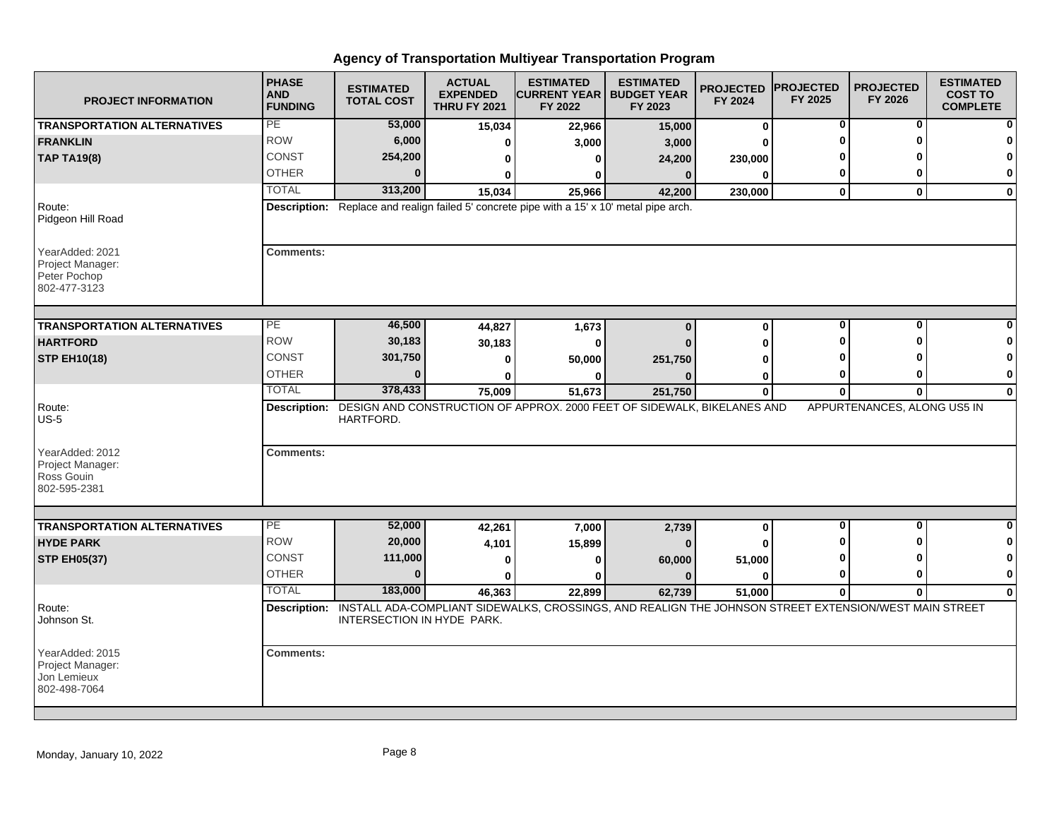| <b>PROJECT INFORMATION</b>                                          | <b>PHASE</b><br><b>AND</b><br><b>FUNDING</b> | <b>ESTIMATED</b><br><b>TOTAL COST</b> | <b>ACTUAL</b><br><b>EXPENDED</b><br><b>THRU FY 2021</b> | <b>ESTIMATED</b><br><b>ICURRENT YEAR I BUDGET YEAR</b><br>FY 2022                                                  | <b>ESTIMATED</b><br>FY 2023 | <b>PROJECTED</b><br>FY 2024 | <b>PROJECTED</b><br>FY 2025 | <b>PROJECTED</b><br>FY 2026 | <b>ESTIMATED</b><br><b>COST TO</b><br><b>COMPLETE</b> |
|---------------------------------------------------------------------|----------------------------------------------|---------------------------------------|---------------------------------------------------------|--------------------------------------------------------------------------------------------------------------------|-----------------------------|-----------------------------|-----------------------------|-----------------------------|-------------------------------------------------------|
| <b>TRANSPORTATION ALTERNATIVES</b>                                  | PE                                           | 53,000                                | 15,034                                                  | 22,966                                                                                                             | 15,000                      | 0                           | 0                           | 0                           |                                                       |
| <b>FRANKLIN</b>                                                     | <b>ROW</b>                                   | 6,000                                 | 0                                                       | 3,000                                                                                                              | 3,000                       | 0                           | O                           | O                           |                                                       |
| <b>TAP TA19(8)</b>                                                  | <b>CONST</b>                                 | 254,200                               | 0                                                       | 0                                                                                                                  | 24,200                      | 230,000                     |                             |                             | n                                                     |
|                                                                     | <b>OTHER</b>                                 | $\bf{0}$                              | 0                                                       | 0                                                                                                                  | $\bf{0}$                    | $\bf{0}$                    | 0                           | 0                           | 0                                                     |
|                                                                     | <b>TOTAL</b>                                 | 313,200                               | 15,034                                                  | 25,966                                                                                                             | 42,200                      | 230,000                     | $\mathbf 0$                 | $\mathbf{0}$                | $\bf{0}$                                              |
| Route:<br>Pidgeon Hill Road                                         |                                              |                                       |                                                         | <b>Description:</b> Replace and realign failed 5' concrete pipe with a 15' x 10' metal pipe arch.                  |                             |                             |                             |                             |                                                       |
| YearAdded: 2021<br>Project Manager:<br>Peter Pochop<br>802-477-3123 | <b>Comments:</b>                             |                                       |                                                         |                                                                                                                    |                             |                             |                             |                             |                                                       |
| <b>TRANSPORTATION ALTERNATIVES</b>                                  | PЕ                                           | 46,500                                | 44,827                                                  | 1,673                                                                                                              | $\bf{0}$                    | $\bf{0}$                    | $\bf{0}$                    | $\bf{0}$                    |                                                       |
| <b>HARTFORD</b>                                                     | <b>ROW</b>                                   | 30,183                                | 30,183                                                  | 0                                                                                                                  |                             | 0                           | ŋ                           | ŋ                           |                                                       |
| <b>STP EH10(18)</b>                                                 | CONST                                        | 301,750                               | 0                                                       | 50,000                                                                                                             | 251,750                     | O                           |                             |                             | n                                                     |
|                                                                     | <b>OTHER</b>                                 | $\Omega$                              | ŋ                                                       |                                                                                                                    |                             | 0                           | 0                           | 0                           | 0                                                     |
|                                                                     | <b>TOTAL</b>                                 | 378,433                               | 75,009                                                  | 51,673                                                                                                             | 251,750                     | $\mathbf{0}$                | $\bf{0}$                    | $\mathbf{0}$                | $\mathbf 0$                                           |
| Route:<br>$US-5$                                                    |                                              | HARTFORD.                             |                                                         | Description: DESIGN AND CONSTRUCTION OF APPROX. 2000 FEET OF SIDEWALK, BIKELANES AND                               |                             |                             |                             | APPURTENANCES, ALONG US5 IN |                                                       |
| YearAdded: 2012<br>Project Manager:<br>Ross Gouin<br>802-595-2381   | <b>Comments:</b>                             |                                       |                                                         |                                                                                                                    |                             |                             |                             |                             |                                                       |
|                                                                     |                                              |                                       |                                                         |                                                                                                                    |                             |                             |                             |                             |                                                       |
| <b>TRANSPORTATION ALTERNATIVES</b>                                  | PE<br><b>ROW</b>                             | 52,000                                | 42,261                                                  | 7,000                                                                                                              | 2,739                       | 0                           | $\mathbf 0$<br>O            | $\mathbf{0}$<br>ŋ           | $\bf{0}$                                              |
| <b>HYDE PARK</b>                                                    |                                              | 20,000                                | 4,101                                                   | 15,899                                                                                                             |                             | O                           |                             |                             | 0                                                     |
| <b>STP EH05(37)</b>                                                 | CONST                                        | 111,000                               | 0                                                       | 0                                                                                                                  | 60,000                      | 51,000                      | ŋ                           | ŋ                           | 0                                                     |
|                                                                     | <b>OTHER</b>                                 | $\bf{0}$                              | $\bf{0}$                                                | 0                                                                                                                  | $\bf{0}$                    | $\bf{0}$                    | 0                           | 0                           | $\mathbf 0$                                           |
|                                                                     | <b>TOTAL</b>                                 | 183,000                               | 46,363                                                  | 22.899                                                                                                             | 62,739                      | 51,000                      | $\bf{0}$                    | $\mathbf{0}$                | $\Omega$                                              |
| Route:<br>Johnson St.                                               |                                              | INTERSECTION IN HYDE PARK.            |                                                         | Description: INSTALL ADA-COMPLIANT SIDEWALKS, CROSSINGS, AND REALIGN THE JOHNSON STREET EXTENSION/WEST MAIN STREET |                             |                             |                             |                             |                                                       |
| YearAdded: 2015<br>Project Manager:<br>Jon Lemieux<br>802-498-7064  | <b>Comments:</b>                             |                                       |                                                         |                                                                                                                    |                             |                             |                             |                             |                                                       |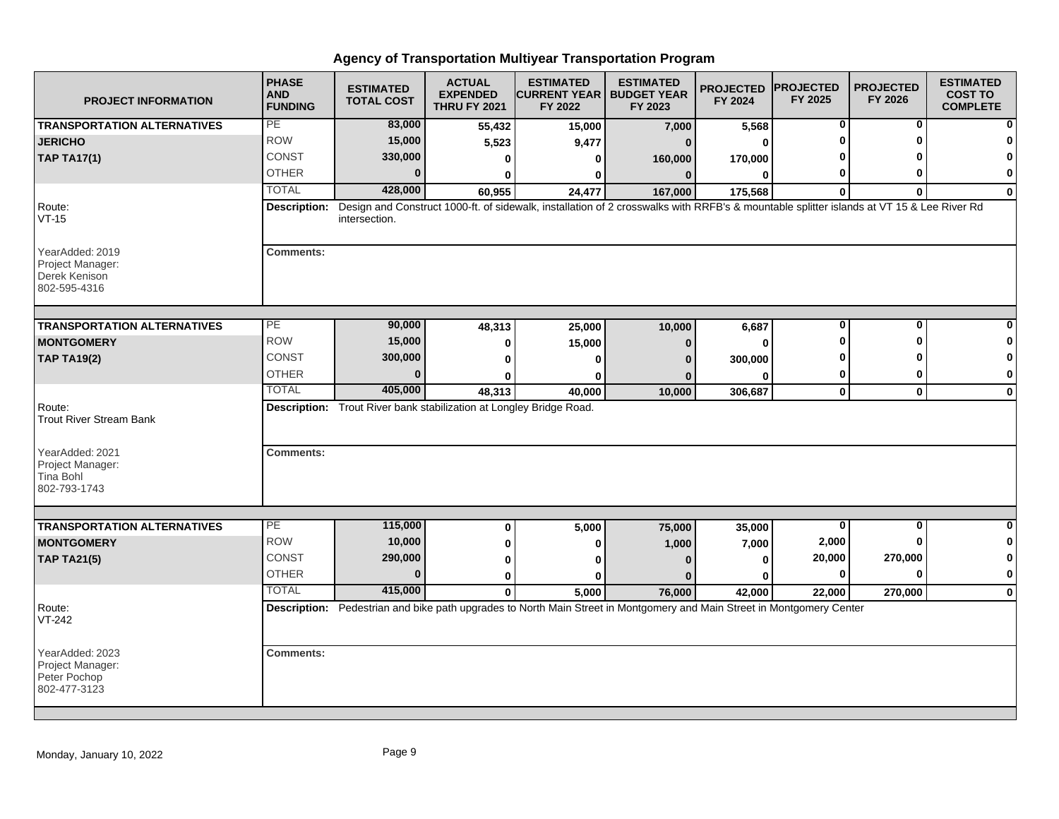| <b>PROJECT INFORMATION</b>                                           | <b>PHASE</b><br><b>AND</b><br><b>FUNDING</b> | <b>ESTIMATED</b><br><b>TOTAL COST</b>                               | <b>ACTUAL</b><br><b>EXPENDED</b><br><b>THRU FY 2021</b> | <b>ESTIMATED</b><br><b>CURRENT YEAR   BUDGET YEAR</b><br>FY 2022                                                                         | <b>ESTIMATED</b><br>FY 2023 | <b>PROJECTED</b><br>FY 2024 | <b>PROJECTED</b><br>FY 2025 | <b>PROJECTED</b><br>FY 2026 | <b>ESTIMATED</b><br><b>COST TO</b><br><b>COMPLETE</b> |
|----------------------------------------------------------------------|----------------------------------------------|---------------------------------------------------------------------|---------------------------------------------------------|------------------------------------------------------------------------------------------------------------------------------------------|-----------------------------|-----------------------------|-----------------------------|-----------------------------|-------------------------------------------------------|
| <b>TRANSPORTATION ALTERNATIVES</b>                                   | PE                                           | 83,000                                                              | 55,432                                                  | 15,000                                                                                                                                   | 7,000                       | 5,568                       | 0                           | 0                           |                                                       |
| <b>JERICHO</b>                                                       | <b>ROW</b>                                   | 15,000                                                              | 5,523                                                   | 9,477                                                                                                                                    | $\Omega$                    | 0                           | O                           | ŋ                           |                                                       |
| <b>TAP TA17(1)</b>                                                   | <b>CONST</b>                                 | 330,000                                                             | 0                                                       | 0                                                                                                                                        | 160,000                     | 170,000                     |                             |                             | O                                                     |
|                                                                      | <b>OTHER</b>                                 | $\bf{0}$                                                            | 0                                                       | 0                                                                                                                                        | $\bf{0}$                    | $\bf{0}$                    | 0                           | ŋ                           | 0                                                     |
|                                                                      | <b>TOTAL</b>                                 | 428,000                                                             | 60,955                                                  | 24,477                                                                                                                                   | 167,000                     | 175,568                     | $\bf{0}$                    | $\bf{0}$                    | $\bf{0}$                                              |
| Route:<br>$VT-15$                                                    | Description:                                 | intersection.                                                       |                                                         | Design and Construct 1000-ft. of sidewalk, installation of 2 crosswalks with RRFB's & mountable splitter islands at VT 15 & Lee River Rd |                             |                             |                             |                             |                                                       |
| YearAdded: 2019<br>Project Manager:<br>Derek Kenison<br>802-595-4316 | <b>Comments:</b>                             |                                                                     |                                                         |                                                                                                                                          |                             |                             |                             |                             |                                                       |
| <b>TRANSPORTATION ALTERNATIVES</b>                                   | $\overline{PE}$                              | 90,000                                                              | 48,313                                                  | 25,000                                                                                                                                   | 10,000                      | 6,687                       | $\bf{0}$                    | $\bf{0}$                    |                                                       |
| <b>MONTGOMERY</b>                                                    | <b>ROW</b>                                   | 15,000                                                              | 0                                                       | 15,000                                                                                                                                   | $\bf{0}$                    | 0                           | ŋ                           | ŋ                           | n                                                     |
| <b>TAP TA19(2)</b>                                                   | <b>CONST</b>                                 | 300,000                                                             | $\bf{0}$                                                | 0                                                                                                                                        | n                           | 300,000                     | o                           |                             | 0                                                     |
|                                                                      | <b>OTHER</b>                                 | $\bf{0}$                                                            | 0                                                       | 0                                                                                                                                        |                             | 0                           | 0                           | 0                           | 0                                                     |
|                                                                      | <b>TOTAL</b>                                 | 405,000                                                             | 48,313                                                  | 40.000                                                                                                                                   | 10,000                      | 306,687                     | $\mathbf{0}$                | $\mathbf{0}$                | $\mathbf 0$                                           |
| Route:<br><b>Trout River Stream Bank</b>                             |                                              | Description: Trout River bank stabilization at Longley Bridge Road. |                                                         |                                                                                                                                          |                             |                             |                             |                             |                                                       |
| YearAdded: 2021<br>Project Manager:<br>Tina Bohl<br>802-793-1743     | <b>Comments:</b>                             |                                                                     |                                                         |                                                                                                                                          |                             |                             |                             |                             |                                                       |
|                                                                      |                                              |                                                                     |                                                         |                                                                                                                                          |                             |                             |                             |                             |                                                       |
| <b>TRANSPORTATION ALTERNATIVES</b>                                   | PE<br><b>ROW</b>                             | 115,000                                                             | $\bf{0}$                                                | 5,000                                                                                                                                    | 75,000                      | 35,000                      | 0                           | 0                           | 0                                                     |
| <b>MONTGOMERY</b>                                                    |                                              | 10,000                                                              | $\bf{0}$                                                | 0                                                                                                                                        | 1,000                       | 7,000                       | 2,000                       | $\bf{0}$                    | 0                                                     |
| <b>TAP TA21(5)</b>                                                   | CONST                                        | 290,000<br>$\Omega$                                                 | 0                                                       | ŋ                                                                                                                                        | $\Omega$                    | 0                           | 20,000                      | 270,000                     | 0                                                     |
|                                                                      | <b>OTHER</b>                                 |                                                                     | 0                                                       | ŋ                                                                                                                                        | n                           | U                           | 0                           | $\bf{0}$                    | $\pmb{0}$                                             |
|                                                                      | <b>TOTAL</b>                                 | 415,000                                                             | $\mathbf{0}$                                            | 5,000                                                                                                                                    | 76,000                      | 42,000                      | 22,000                      | 270,000                     | $\mathbf 0$                                           |
| Route:<br>VT-242                                                     |                                              |                                                                     |                                                         | Description: Pedestrian and bike path upgrades to North Main Street in Montgomery and Main Street in Montgomery Center                   |                             |                             |                             |                             |                                                       |
| YearAdded: 2023<br>Project Manager:<br>Peter Pochop<br>802-477-3123  | <b>Comments:</b>                             |                                                                     |                                                         |                                                                                                                                          |                             |                             |                             |                             |                                                       |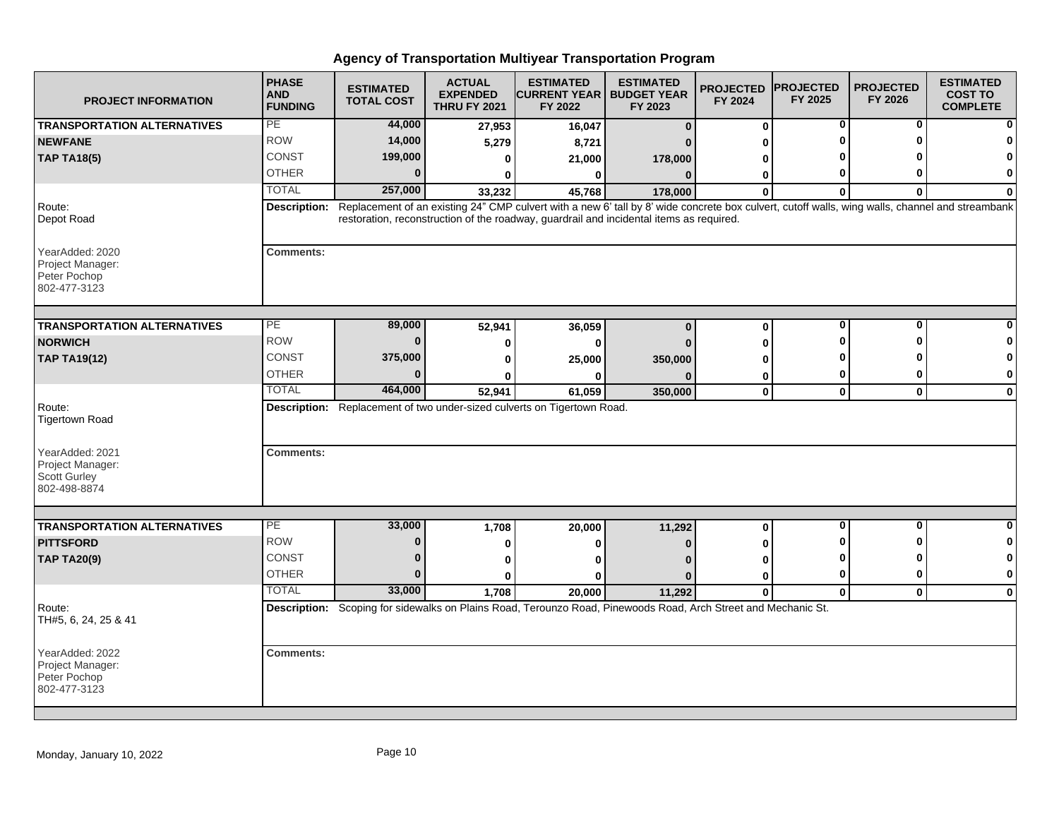| <b>PROJECT INFORMATION</b>                                                 | <b>PHASE</b><br><b>AND</b><br><b>FUNDING</b> | <b>ESTIMATED</b><br><b>TOTAL COST</b> | <b>ACTUAL</b><br><b>EXPENDED</b><br><b>THRU FY 2021</b> | <b>ESTIMATED</b><br><b>CURRENT YEAR   BUDGET YEAR</b><br>FY 2022                                                                                                                                                                           | <b>ESTIMATED</b><br>FY 2023 | <b>PROJECTED</b><br>FY 2024 | <b>PROJECTED</b><br>FY 2025 | <b>PROJECTED</b><br>FY 2026 | <b>ESTIMATED</b><br><b>COST TO</b><br><b>COMPLETE</b> |
|----------------------------------------------------------------------------|----------------------------------------------|---------------------------------------|---------------------------------------------------------|--------------------------------------------------------------------------------------------------------------------------------------------------------------------------------------------------------------------------------------------|-----------------------------|-----------------------------|-----------------------------|-----------------------------|-------------------------------------------------------|
| <b>TRANSPORTATION ALTERNATIVES</b>                                         | PE                                           | 44,000                                | 27,953                                                  | 16,047                                                                                                                                                                                                                                     | $\bf{0}$                    | 0                           | 0                           | 0                           | ŋ                                                     |
| <b>NEWFANE</b>                                                             | <b>ROW</b>                                   | 14,000                                | 5,279                                                   | 8,721                                                                                                                                                                                                                                      |                             |                             |                             |                             |                                                       |
| <b>TAP TA18(5)</b>                                                         | CONST                                        | 199,000                               | 0                                                       | 21,000                                                                                                                                                                                                                                     | 178,000                     |                             |                             |                             | 0                                                     |
|                                                                            | <b>OTHER</b>                                 | $\bf{0}$                              | 0                                                       | 0                                                                                                                                                                                                                                          | $\bf{0}$                    | 0                           |                             | ŋ                           | 0                                                     |
|                                                                            | <b>TOTAL</b>                                 | 257,000                               | 33,232                                                  | 45,768                                                                                                                                                                                                                                     | 178,000                     | $\mathbf{0}$                | $\Omega$                    | $\bf{0}$                    | 0                                                     |
| Route:<br>Depot Road                                                       | Description:                                 |                                       |                                                         | Replacement of an existing 24" CMP culvert with a new 6' tall by 8' wide concrete box culvert, cutoff walls, wing walls, channel and streambank<br>restoration, reconstruction of the roadway, guardrail and incidental items as required. |                             |                             |                             |                             |                                                       |
| YearAdded: 2020<br>Project Manager:<br>Peter Pochop<br>802-477-3123        | <b>Comments:</b>                             |                                       |                                                         |                                                                                                                                                                                                                                            |                             |                             |                             |                             |                                                       |
| <b>TRANSPORTATION ALTERNATIVES</b>                                         | PE                                           | 89,000                                | 52,941                                                  | 36,059                                                                                                                                                                                                                                     | $\bf{0}$                    | $\bf{0}$                    | $\bf{0}$                    | O                           |                                                       |
| <b>NORWICH</b>                                                             | <b>ROW</b>                                   | $\Omega$                              | 0                                                       | 0                                                                                                                                                                                                                                          |                             | U                           |                             |                             | ŋ                                                     |
| <b>TAP TA19(12)</b>                                                        | CONST                                        | 375,000                               | 0                                                       | 25,000                                                                                                                                                                                                                                     | 350,000                     | ŋ                           |                             |                             | 0                                                     |
|                                                                            | <b>OTHER</b>                                 | $\Omega$                              | U                                                       | 0                                                                                                                                                                                                                                          |                             | 0                           | 0                           | o                           | 0                                                     |
|                                                                            | <b>TOTAL</b>                                 | 464,000                               | 52,941                                                  | 61,059                                                                                                                                                                                                                                     | 350,000                     | $\mathbf 0$                 | $\mathbf 0$                 | $\bf{0}$                    | $\mathbf 0$                                           |
| Route:<br><b>Tigertown Road</b>                                            |                                              |                                       |                                                         | Description: Replacement of two under-sized culverts on Tigertown Road.                                                                                                                                                                    |                             |                             |                             |                             |                                                       |
| YearAdded: 2021<br>Project Manager:<br><b>Scott Gurley</b><br>802-498-8874 | <b>Comments:</b>                             |                                       |                                                         |                                                                                                                                                                                                                                            |                             |                             |                             |                             |                                                       |
|                                                                            | PE                                           |                                       |                                                         |                                                                                                                                                                                                                                            |                             |                             | $\bf{0}$                    | O                           | 0                                                     |
| <b>TRANSPORTATION ALTERNATIVES</b><br><b>PITTSFORD</b>                     | <b>ROW</b>                                   | 33,000<br>$\bf{0}$                    | 1,708                                                   | 20,000                                                                                                                                                                                                                                     | 11,292                      | 0                           |                             | ŋ                           | 0                                                     |
|                                                                            | <b>CONST</b>                                 | $\bf{0}$                              | 0                                                       | 0                                                                                                                                                                                                                                          |                             |                             |                             |                             | 0                                                     |
| <b>TAP TA20(9)</b>                                                         | <b>OTHER</b>                                 | $\Omega$                              | 0                                                       | ŋ                                                                                                                                                                                                                                          |                             | ŋ                           | 0                           | $\mathbf{0}$                | 0                                                     |
|                                                                            | <b>TOTAL</b>                                 | 33,000                                | <sup>0</sup>                                            | ŋ                                                                                                                                                                                                                                          | n                           | U                           |                             |                             |                                                       |
| Route:<br>TH#5, 6, 24, 25 & 41                                             |                                              |                                       | 1,708                                                   | 20,000<br>Description: Scoping for sidewalks on Plains Road, Terounzo Road, Pinewoods Road, Arch Street and Mechanic St.                                                                                                                   | 11,292                      | $\bf{0}$                    | $\mathbf 0$                 | $\mathbf{0}$                | 0                                                     |
| YearAdded: 2022<br>Project Manager:<br>Peter Pochop<br>802-477-3123        | <b>Comments:</b>                             |                                       |                                                         |                                                                                                                                                                                                                                            |                             |                             |                             |                             |                                                       |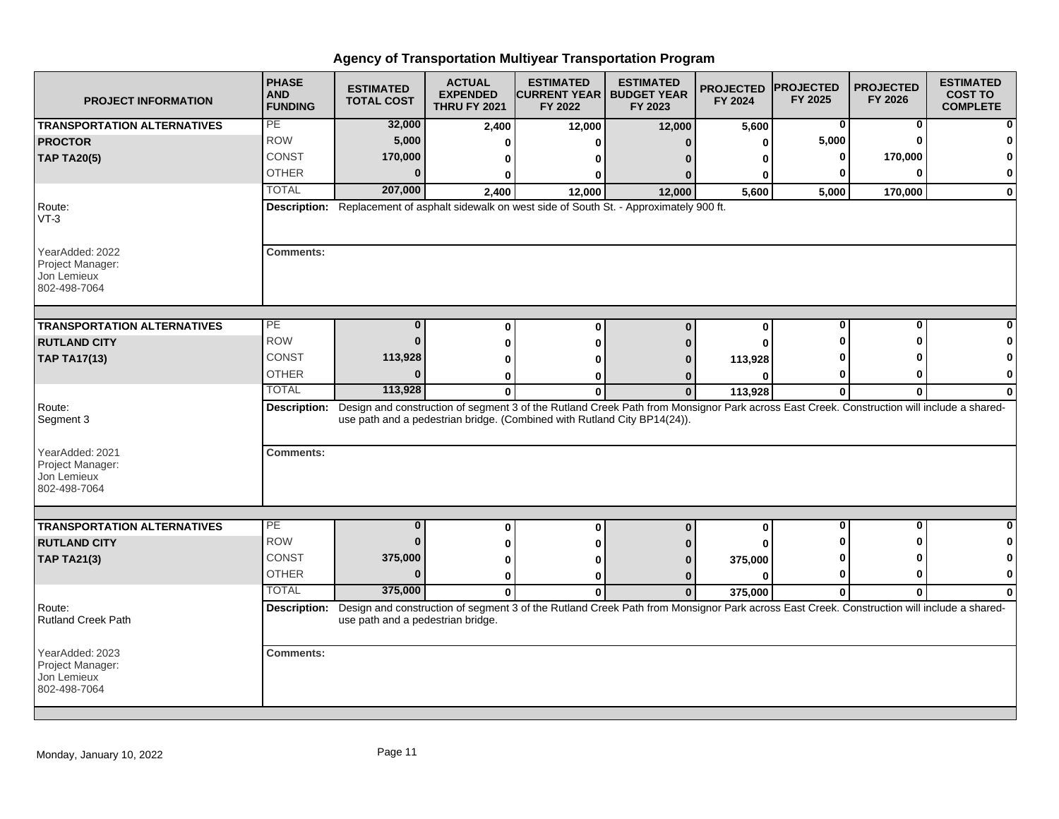| <b>PROJECT INFORMATION</b>                                         | <b>PHASE</b><br><b>AND</b><br><b>FUNDING</b> | <b>ESTIMATED</b><br><b>TOTAL COST</b> | <b>ACTUAL</b><br><b>EXPENDED</b><br><b>THRU FY 2021</b> | <b>ESTIMATED</b><br><b>CURRENT YEAR   BUDGET YEAR</b><br>FY 2022         | <b>ESTIMATED</b><br>FY 2023                                                                                                                            | <b>PROJECTED</b><br>FY 2024 | <b>PROJECTED</b><br>FY 2025 | <b>PROJECTED</b><br>FY 2026 | <b>ESTIMATED</b><br><b>COST TO</b><br><b>COMPLETE</b> |
|--------------------------------------------------------------------|----------------------------------------------|---------------------------------------|---------------------------------------------------------|--------------------------------------------------------------------------|--------------------------------------------------------------------------------------------------------------------------------------------------------|-----------------------------|-----------------------------|-----------------------------|-------------------------------------------------------|
| <b>TRANSPORTATION ALTERNATIVES</b>                                 | PE                                           | 32,000                                | 2,400                                                   | 12,000                                                                   | 12,000                                                                                                                                                 | 5,600                       | 0                           | $\bf{0}$                    |                                                       |
| <b>PROCTOR</b>                                                     | <b>ROW</b>                                   | 5,000                                 | 0                                                       | O                                                                        | $\Omega$                                                                                                                                               | 0                           | 5,000                       | $\Omega$                    |                                                       |
| <b>TAP TA20(5)</b>                                                 | CONST                                        | 170,000                               | 0                                                       | ŋ                                                                        |                                                                                                                                                        | ŋ                           | 0                           | 170,000                     |                                                       |
|                                                                    | <b>OTHER</b>                                 | $\bf{0}$                              | 0                                                       | 0                                                                        |                                                                                                                                                        |                             | 0                           | O                           | 0                                                     |
|                                                                    | <b>TOTAL</b>                                 | 207,000                               | 2,400                                                   | 12,000                                                                   | 12,000                                                                                                                                                 | 5,600                       | 5,000                       | 170,000                     | $\mathbf{0}$                                          |
| Route:<br>$VT-3$                                                   |                                              |                                       |                                                         |                                                                          | Description: Replacement of asphalt sidewalk on west side of South St. - Approximately 900 ft.                                                         |                             |                             |                             |                                                       |
| YearAdded: 2022<br>Project Manager:<br>Jon Lemieux<br>802-498-7064 | <b>Comments:</b>                             |                                       |                                                         |                                                                          |                                                                                                                                                        |                             |                             |                             |                                                       |
| <b>TRANSPORTATION ALTERNATIVES</b>                                 | PЕ                                           | 0                                     | 0                                                       | $\bf{0}$                                                                 | $\bf{0}$                                                                                                                                               | 0                           | 0                           | 0                           |                                                       |
| <b>RUTLAND CITY</b>                                                | <b>ROW</b>                                   | $\bf{0}$                              | 0                                                       | 0                                                                        |                                                                                                                                                        | O                           |                             | ŋ                           |                                                       |
| <b>TAP TA17(13)</b>                                                | <b>CONST</b>                                 | 113,928                               | $\bf{0}$                                                |                                                                          |                                                                                                                                                        | 113,928                     |                             |                             |                                                       |
|                                                                    | <b>OTHER</b>                                 | $\Omega$                              | 0                                                       | o                                                                        |                                                                                                                                                        | O                           | 0                           | ŋ                           | 0                                                     |
|                                                                    | <b>TOTAL</b>                                 | 113,928                               | $\mathbf{0}$                                            | $\bf{0}$                                                                 | $\mathbf{0}$                                                                                                                                           | 113,928                     | 0                           | 0                           | $\bf{0}$                                              |
| Route:<br>Segment 3                                                |                                              |                                       |                                                         | use path and a pedestrian bridge. (Combined with Rutland City BP14(24)). | Description: Design and construction of segment 3 of the Rutland Creek Path from Monsignor Park across East Creek. Construction will include a shared- |                             |                             |                             |                                                       |
| YearAdded: 2021<br>Project Manager:<br>Jon Lemieux<br>802-498-7064 | <b>Comments:</b>                             |                                       |                                                         |                                                                          |                                                                                                                                                        |                             |                             |                             |                                                       |
|                                                                    |                                              |                                       |                                                         |                                                                          |                                                                                                                                                        |                             |                             |                             |                                                       |
| <b>TRANSPORTATION ALTERNATIVES</b>                                 | PE                                           | $\bf{0}$                              | 0                                                       | 0                                                                        | $\bf{0}$                                                                                                                                               | 0                           | $\mathbf 0$                 | $\mathbf{0}$                |                                                       |
| <b>RUTLAND CITY</b>                                                | <b>ROW</b>                                   | $\bf{0}$                              | 0                                                       | 0                                                                        |                                                                                                                                                        |                             |                             | ŋ                           | 0                                                     |
| <b>TAP TA21(3)</b>                                                 | CONST                                        | 375,000                               | 0                                                       | ŋ                                                                        |                                                                                                                                                        | 375,000                     | ŋ                           | ŋ                           |                                                       |
|                                                                    | <b>OTHER</b>                                 | $\Omega$                              | 0                                                       | 0                                                                        | $\bf{0}$                                                                                                                                               | $\bf{0}$                    | 0                           | O                           | $\mathbf 0$                                           |
|                                                                    | <b>TOTAL</b>                                 | 375,000                               | $\mathbf{0}$                                            | $\bf{0}$                                                                 | $\mathbf{0}$                                                                                                                                           | 375,000                     | $\mathbf{0}$                | $\bf{0}$                    | $\bf{0}$                                              |
| Route:<br><b>Rutland Creek Path</b>                                | Description:                                 | use path and a pedestrian bridge.     |                                                         |                                                                          | Design and construction of segment 3 of the Rutland Creek Path from Monsignor Park across East Creek. Construction will include a shared-              |                             |                             |                             |                                                       |
| YearAdded: 2023<br>Project Manager:<br>Jon Lemieux<br>802-498-7064 | <b>Comments:</b>                             |                                       |                                                         |                                                                          |                                                                                                                                                        |                             |                             |                             |                                                       |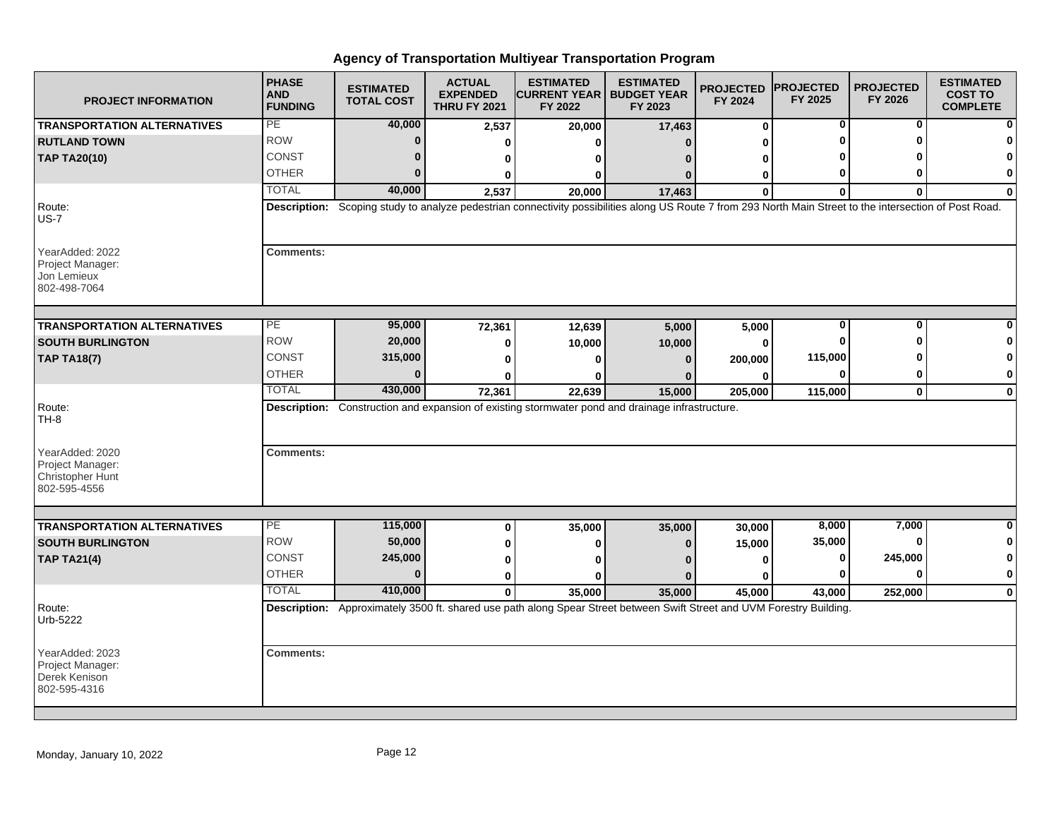| <b>PROJECT INFORMATION</b>                                              | <b>PHASE</b><br><b>AND</b><br><b>FUNDING</b> | <b>ESTIMATED</b><br><b>TOTAL COST</b> | <b>ACTUAL</b><br><b>EXPENDED</b><br><b>THRU FY 2021</b> | <b>ESTIMATED</b><br><b>CURRENT YEAR   BUDGET YEAR</b><br>FY 2022                                                                                          | <b>ESTIMATED</b><br>FY 2023 | <b>PROJECTED</b><br>FY 2024 | <b>PROJECTED</b><br>FY 2025 | <b>PROJECTED</b><br>FY 2026 | <b>ESTIMATED</b><br><b>COST TO</b><br><b>COMPLETE</b> |
|-------------------------------------------------------------------------|----------------------------------------------|---------------------------------------|---------------------------------------------------------|-----------------------------------------------------------------------------------------------------------------------------------------------------------|-----------------------------|-----------------------------|-----------------------------|-----------------------------|-------------------------------------------------------|
| <b>TRANSPORTATION ALTERNATIVES</b>                                      | PE                                           | 40,000                                | 2,537                                                   | 20,000                                                                                                                                                    | 17,463                      | 0                           | 0                           | 0                           |                                                       |
| <b>RUTLAND TOWN</b>                                                     | <b>ROW</b>                                   | $\bf{0}$                              | O                                                       | ŋ                                                                                                                                                         |                             | U                           |                             | ŋ                           |                                                       |
| <b>TAP TA20(10)</b>                                                     | <b>CONST</b>                                 | $\bf{0}$                              | 0                                                       | o                                                                                                                                                         |                             | ŋ                           |                             |                             |                                                       |
|                                                                         | <b>OTHER</b>                                 | $\bf{0}$                              | 0                                                       | 0                                                                                                                                                         | 0                           | 0                           | 0                           | O                           | $\bf{0}$                                              |
|                                                                         | <b>TOTAL</b>                                 | 40,000                                | 2,537                                                   | 20,000                                                                                                                                                    | 17,463                      | $\bf{0}$                    | $\bf{0}$                    | $\bf{0}$                    | $\bf{0}$                                              |
| Route:<br>$US-7$                                                        |                                              |                                       |                                                         | Description: Scoping study to analyze pedestrian connectivity possibilities along US Route 7 from 293 North Main Street to the intersection of Post Road. |                             |                             |                             |                             |                                                       |
| YearAdded: 2022<br>Project Manager:<br>Jon Lemieux<br>802-498-7064      | <b>Comments:</b>                             |                                       |                                                         |                                                                                                                                                           |                             |                             |                             |                             |                                                       |
| <b>TRANSPORTATION ALTERNATIVES</b>                                      | $\overline{PE}$                              | 95,000                                | 72,361                                                  | 12,639                                                                                                                                                    | 5,000                       | 5,000                       | $\bf{0}$                    | $\bf{0}$                    |                                                       |
| <b>SOUTH BURLINGTON</b>                                                 | <b>ROW</b>                                   | 20,000                                | 0                                                       | 10,000                                                                                                                                                    | 10,000                      | 0                           | $\bf{0}$                    | ∩                           |                                                       |
| <b>TAP TA18(7)</b>                                                      | <b>CONST</b>                                 | 315,000                               | 0                                                       | 0                                                                                                                                                         | $\Omega$                    | 200,000                     | 115,000                     |                             | 0                                                     |
|                                                                         | <b>OTHER</b>                                 | $\Omega$                              | U                                                       | ŋ                                                                                                                                                         |                             | 0                           | 0                           | 0                           | 0                                                     |
|                                                                         | <b>TOTAL</b>                                 | 430,000                               | 72,361                                                  | 22,639                                                                                                                                                    | 15,000                      | 205,000                     | 115,000                     | $\mathbf 0$                 | $\mathbf{0}$                                          |
| Route:<br>TH-8                                                          |                                              |                                       |                                                         | Description: Construction and expansion of existing stormwater pond and drainage infrastructure.                                                          |                             |                             |                             |                             |                                                       |
| YearAdded: 2020<br>Project Manager:<br>Christopher Hunt<br>802-595-4556 | <b>Comments:</b>                             |                                       |                                                         |                                                                                                                                                           |                             |                             |                             |                             |                                                       |
| <b>TRANSPORTATION ALTERNATIVES</b>                                      | PE                                           | 115,000                               | 0                                                       | 35,000                                                                                                                                                    | 35,000                      | 30,000                      | 8,000                       | 7,000                       | 0                                                     |
| <b>SOUTH BURLINGTON</b>                                                 | <b>ROW</b>                                   | 50,000                                | 0                                                       | 0                                                                                                                                                         |                             | 15,000                      | 35,000                      | $\bf{0}$                    | 0                                                     |
| <b>TAP TA21(4)</b>                                                      | CONST                                        | 245,000                               | 0                                                       | $\mathbf{0}$                                                                                                                                              |                             | 0                           | 0                           | 245,000                     | 0                                                     |
|                                                                         | <b>OTHER</b>                                 | $\Omega$                              | 0                                                       | ŋ                                                                                                                                                         |                             | ŋ                           | $\bf{0}$                    | $\bf{0}$                    | $\bf{0}$                                              |
|                                                                         | <b>TOTAL</b>                                 | 410,000                               | $\mathbf{0}$                                            | 35,000                                                                                                                                                    | 35,000                      | 45,000                      | 43,000                      | 252,000                     | $\mathbf 0$                                           |
| Route:<br>Urb-5222                                                      |                                              |                                       |                                                         | Description: Approximately 3500 ft. shared use path along Spear Street between Swift Street and UVM Forestry Building.                                    |                             |                             |                             |                             |                                                       |
| YearAdded: 2023<br>Project Manager:<br>Derek Kenison<br>802-595-4316    | <b>Comments:</b>                             |                                       |                                                         |                                                                                                                                                           |                             |                             |                             |                             |                                                       |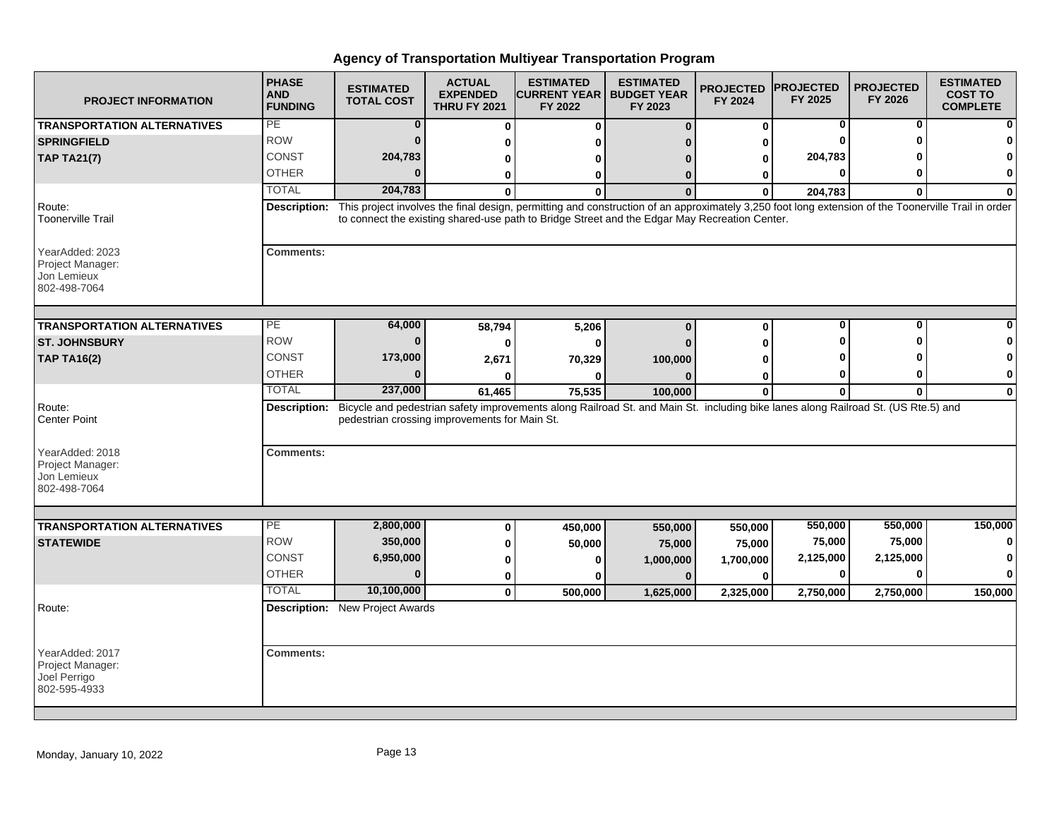| <b>PROJECT INFORMATION</b>                                          | <b>PHASE</b><br><b>AND</b><br><b>FUNDING</b> | <b>ESTIMATED</b><br><b>TOTAL COST</b>         | <b>ACTUAL</b><br><b>EXPENDED</b><br><b>THRU FY 2021</b> | <b>ESTIMATED</b><br><b>CURRENT YEAR I</b><br>FY 2022                                                                                                                                                                                                 | <b>ESTIMATED</b><br><b>BUDGET YEAR</b><br>FY 2023 | <b>PROJECTED</b><br>FY 2024 | <b>PROJECTED</b><br>FY 2025 | <b>PROJECTED</b><br>FY 2026 | <b>ESTIMATED</b><br><b>COST TO</b><br><b>COMPLETE</b> |
|---------------------------------------------------------------------|----------------------------------------------|-----------------------------------------------|---------------------------------------------------------|------------------------------------------------------------------------------------------------------------------------------------------------------------------------------------------------------------------------------------------------------|---------------------------------------------------|-----------------------------|-----------------------------|-----------------------------|-------------------------------------------------------|
| <b>TRANSPORTATION ALTERNATIVES</b>                                  | PE                                           | $\bf{0}$                                      | $\bf{0}$                                                | 0                                                                                                                                                                                                                                                    | $\Omega$                                          | 0                           | 0                           | 0                           |                                                       |
| <b>SPRINGFIELD</b>                                                  | <b>ROW</b>                                   | $\Omega$                                      | 0                                                       |                                                                                                                                                                                                                                                      |                                                   | 0                           |                             |                             |                                                       |
| <b>TAP TA21(7)</b>                                                  | <b>CONST</b>                                 | 204,783                                       | 0                                                       |                                                                                                                                                                                                                                                      |                                                   | 0                           | 204,783                     |                             |                                                       |
|                                                                     | <b>OTHER</b>                                 | $\Omega$                                      | 0                                                       | ŋ                                                                                                                                                                                                                                                    |                                                   | 0                           | $\bf{0}$                    | ŋ                           | 0                                                     |
|                                                                     | <b>TOTAL</b>                                 | 204,783                                       |                                                         |                                                                                                                                                                                                                                                      |                                                   | $\Omega$                    | 204,783                     | $\bf{0}$                    | $\Omega$                                              |
| Route:<br><b>Toonerville Trail</b>                                  | Description:                                 |                                               |                                                         | This project involves the final design, permitting and construction of an approximately 3,250 foot long extension of the Toonerville Trail in order<br>to connect the existing shared-use path to Bridge Street and the Edgar May Recreation Center. |                                                   |                             |                             |                             |                                                       |
| YearAdded: 2023<br>Project Manager:<br>Jon Lemieux<br>802-498-7064  | <b>Comments:</b>                             |                                               |                                                         |                                                                                                                                                                                                                                                      |                                                   |                             |                             |                             |                                                       |
| <b>TRANSPORTATION ALTERNATIVES</b>                                  | $\overline{\mathsf{PE}}$                     | 64,000                                        | 58,794                                                  | 5,206                                                                                                                                                                                                                                                | $\Omega$                                          | $\bf{0}$                    | 0                           | 0                           |                                                       |
| <b>ST. JOHNSBURY</b>                                                | <b>ROW</b>                                   | $\mathbf{0}$                                  | 0                                                       |                                                                                                                                                                                                                                                      |                                                   |                             |                             |                             |                                                       |
| <b>TAP TA16(2)</b>                                                  | CONST                                        | 173,000                                       | 2,671                                                   | 70,329                                                                                                                                                                                                                                               | 100,000                                           |                             |                             |                             |                                                       |
|                                                                     | <b>OTHER</b>                                 | $\Omega$                                      |                                                         |                                                                                                                                                                                                                                                      |                                                   | 0                           | 0                           | 0                           | 0                                                     |
|                                                                     | <b>TOTAL</b>                                 | 237,000                                       | 61,465                                                  | 75,535                                                                                                                                                                                                                                               | 100,000                                           | $\bf{0}$                    | $\mathbf{0}$                | $\mathbf{0}$                | $\mathbf 0$                                           |
| Route:<br>Center Point                                              |                                              | pedestrian crossing improvements for Main St. |                                                         | Description: Bicycle and pedestrian safety improvements along Railroad St. and Main St. including bike lanes along Railroad St. (US Rte.5) and                                                                                                       |                                                   |                             |                             |                             |                                                       |
| YearAdded: 2018<br>Project Manager:<br>Jon Lemieux<br>802-498-7064  | <b>Comments:</b>                             |                                               |                                                         |                                                                                                                                                                                                                                                      |                                                   |                             |                             |                             |                                                       |
| <b>TRANSPORTATION ALTERNATIVES</b>                                  | PE                                           | 2,800,000                                     |                                                         |                                                                                                                                                                                                                                                      |                                                   |                             | 550,000                     | 550,000                     | 150,000                                               |
| <b>STATEWIDE</b>                                                    | <b>ROW</b>                                   | 350,000                                       | 0                                                       | 450,000                                                                                                                                                                                                                                              | 550,000                                           | 550,000                     | 75,000                      | 75,000                      |                                                       |
|                                                                     | <b>CONST</b>                                 | 6,950,000                                     | 0                                                       | 50,000                                                                                                                                                                                                                                               | 75,000                                            | 75,000                      | 2,125,000                   | 2,125,000                   |                                                       |
|                                                                     | <b>OTHER</b>                                 | $\bf{0}$                                      | 0                                                       |                                                                                                                                                                                                                                                      | 1,000,000                                         | 1,700,000                   | 0                           | 0                           | O                                                     |
|                                                                     | <b>TOTAL</b>                                 | 10,100,000                                    | 0<br>$\mathbf{0}$                                       |                                                                                                                                                                                                                                                      | $\mathbf{0}$                                      | 0                           |                             |                             |                                                       |
| Route:                                                              |                                              | <b>Description:</b> New Project Awards        |                                                         | 500,000                                                                                                                                                                                                                                              | 1,625,000                                         | 2,325,000                   | 2,750,000                   | 2,750,000                   | 150,000                                               |
|                                                                     |                                              |                                               |                                                         |                                                                                                                                                                                                                                                      |                                                   |                             |                             |                             |                                                       |
| YearAdded: 2017<br>Project Manager:<br>Joel Perrigo<br>802-595-4933 | <b>Comments:</b>                             |                                               |                                                         |                                                                                                                                                                                                                                                      |                                                   |                             |                             |                             |                                                       |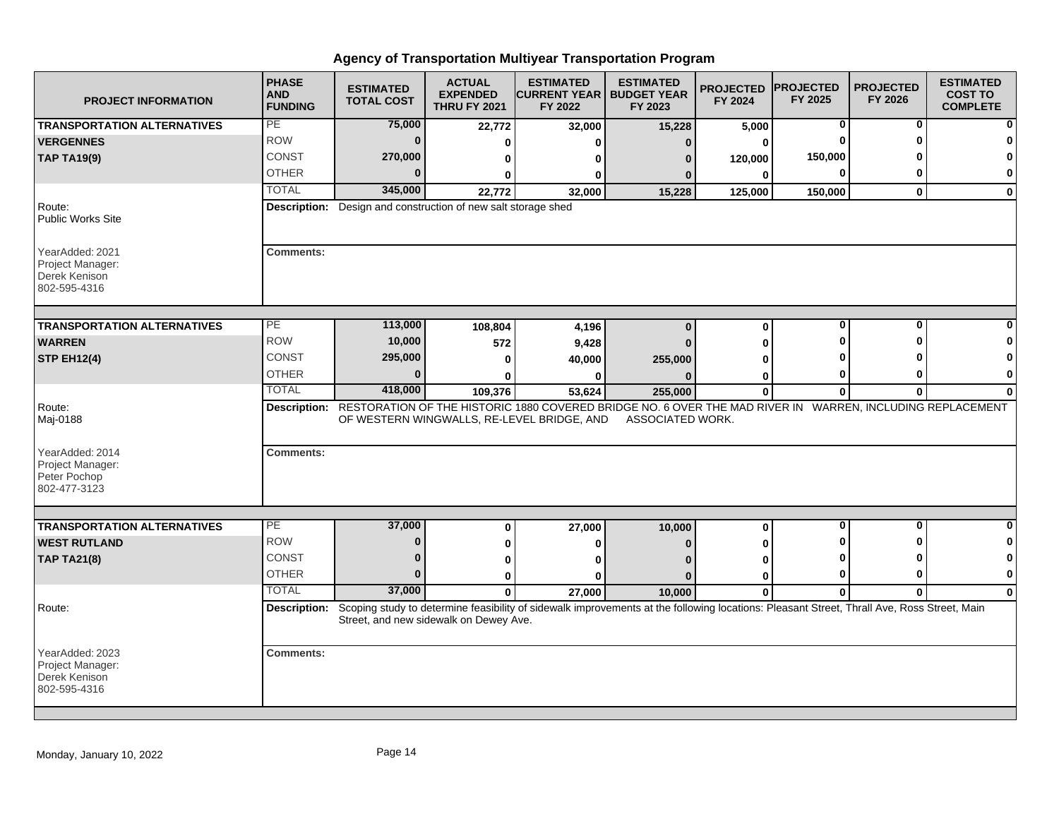| <b>PROJECT INFORMATION</b>                                           | <b>PHASE</b><br><b>AND</b><br><b>FUNDING</b> | <b>ESTIMATED</b><br><b>TOTAL COST</b>                                                                                                                                                | <b>ACTUAL</b><br><b>EXPENDED</b><br><b>THRU FY 2021</b> | <b>ESTIMATED</b><br><b>CURRENT YEAR   BUDGET YEAR</b><br>FY 2022 | <b>ESTIMATED</b><br>FY 2023 | <b>PROJECTED</b><br>FY 2024 | <b>PROJECTED</b><br>FY 2025 | <b>PROJECTED</b><br>FY 2026 | <b>ESTIMATED</b><br><b>COST TO</b><br><b>COMPLETE</b> |
|----------------------------------------------------------------------|----------------------------------------------|--------------------------------------------------------------------------------------------------------------------------------------------------------------------------------------|---------------------------------------------------------|------------------------------------------------------------------|-----------------------------|-----------------------------|-----------------------------|-----------------------------|-------------------------------------------------------|
| <b>TRANSPORTATION ALTERNATIVES</b>                                   | PE                                           | 75,000                                                                                                                                                                               | 22,772                                                  | 32,000                                                           | 15,228                      | 5,000                       | 0                           | 0                           |                                                       |
| <b>VERGENNES</b>                                                     | <b>ROW</b>                                   | $\bf{0}$                                                                                                                                                                             | 0                                                       | U                                                                | $\mathbf{0}$                | 0                           | ŋ                           | ŋ                           |                                                       |
| <b>TAP TA19(9)</b>                                                   | CONST                                        | 270,000                                                                                                                                                                              | 0                                                       | ŋ                                                                | n                           | 120,000                     | 150,000                     |                             |                                                       |
|                                                                      | <b>OTHER</b>                                 | $\bf{0}$                                                                                                                                                                             | 0                                                       | 0                                                                |                             | $\bf{0}$                    | 0                           | 0                           | 0                                                     |
|                                                                      | <b>TOTAL</b>                                 | 345,000                                                                                                                                                                              | 22,772                                                  | 32,000                                                           | 15,228                      | 125,000                     | 150,000                     | $\mathbf{0}$                | $\mathbf{0}$                                          |
| Route:<br><b>Public Works Site</b>                                   |                                              | <b>Description:</b> Design and construction of new salt storage shed                                                                                                                 |                                                         |                                                                  |                             |                             |                             |                             |                                                       |
| YearAdded: 2021<br>Project Manager:<br>Derek Kenison<br>802-595-4316 | <b>Comments:</b>                             |                                                                                                                                                                                      |                                                         |                                                                  |                             |                             |                             |                             |                                                       |
| <b>TRANSPORTATION ALTERNATIVES</b>                                   | PE                                           | 113,000                                                                                                                                                                              | 108,804                                                 |                                                                  | $\bf{0}$                    | $\mathbf 0$                 | 0                           | 0                           |                                                       |
| <b>WARREN</b>                                                        | <b>ROW</b>                                   | 10,000                                                                                                                                                                               |                                                         | 4,196                                                            |                             | O                           |                             | ŋ                           |                                                       |
| <b>STP EH12(4)</b>                                                   | <b>CONST</b>                                 | 295,000                                                                                                                                                                              | 572<br>$\bf{0}$                                         | 9,428<br>40,000                                                  | 255,000                     |                             |                             |                             |                                                       |
|                                                                      | <b>OTHER</b>                                 | 0                                                                                                                                                                                    |                                                         | ŋ                                                                |                             | ŋ                           | 0                           | ŋ                           | $\mathbf 0$                                           |
|                                                                      | <b>TOTAL</b>                                 | 418,000                                                                                                                                                                              | 109,376                                                 | 53,624                                                           | 255,000                     | $\bf{0}$                    | 0                           | 0                           | $\bf{0}$                                              |
| Route:<br>Maj-0188                                                   |                                              | Description: RESTORATION OF THE HISTORIC 1880 COVERED BRIDGE NO. 6 OVER THE MAD RIVER IN WARREN, INCLUDING REPLACEMENT                                                               |                                                         | OF WESTERN WINGWALLS, RE-LEVEL BRIDGE, AND                       | ASSOCIATED WORK.            |                             |                             |                             |                                                       |
| YearAdded: 2014<br>Project Manager:<br>Peter Pochop<br>802-477-3123  | <b>Comments:</b>                             |                                                                                                                                                                                      |                                                         |                                                                  |                             |                             |                             |                             |                                                       |
|                                                                      | PE                                           | 37,000                                                                                                                                                                               |                                                         |                                                                  |                             |                             | $\mathbf 0$                 | $\mathbf{0}$                | $\bf{0}$                                              |
| <b>TRANSPORTATION ALTERNATIVES</b><br><b>WEST RUTLAND</b>            | <b>ROW</b>                                   | $\bf{0}$                                                                                                                                                                             | $\bf{0}$                                                | 27,000                                                           | 10,000                      | $\mathbf 0$                 | O                           | ŋ                           | 0                                                     |
|                                                                      | <b>CONST</b>                                 | $\bf{0}$                                                                                                                                                                             | 0                                                       | ŋ                                                                |                             | ŋ                           | ŋ                           | ŋ                           | $\mathbf 0$                                           |
| <b>TAP TA21(8)</b>                                                   | <b>OTHER</b>                                 | $\bf{0}$                                                                                                                                                                             | 0                                                       | ŋ                                                                |                             | 0                           | 0                           | 0                           | $\mathbf 0$                                           |
|                                                                      | <b>TOTAL</b>                                 | 37,000                                                                                                                                                                               | 0                                                       | $\mathbf{0}$                                                     | n                           | 0                           |                             |                             |                                                       |
| Route:                                                               | Description:                                 | Scoping study to determine feasibility of sidewalk improvements at the following locations: Pleasant Street, Thrall Ave, Ross Street, Main<br>Street, and new sidewalk on Dewey Ave. | $\mathbf{0}$                                            | 27.000                                                           | 10,000                      | $\mathbf{0}$                | $\bf{0}$                    | $\bf{0}$                    | $\bf{0}$                                              |
| YearAdded: 2023<br>Project Manager:<br>Derek Kenison<br>802-595-4316 | <b>Comments:</b>                             |                                                                                                                                                                                      |                                                         |                                                                  |                             |                             |                             |                             |                                                       |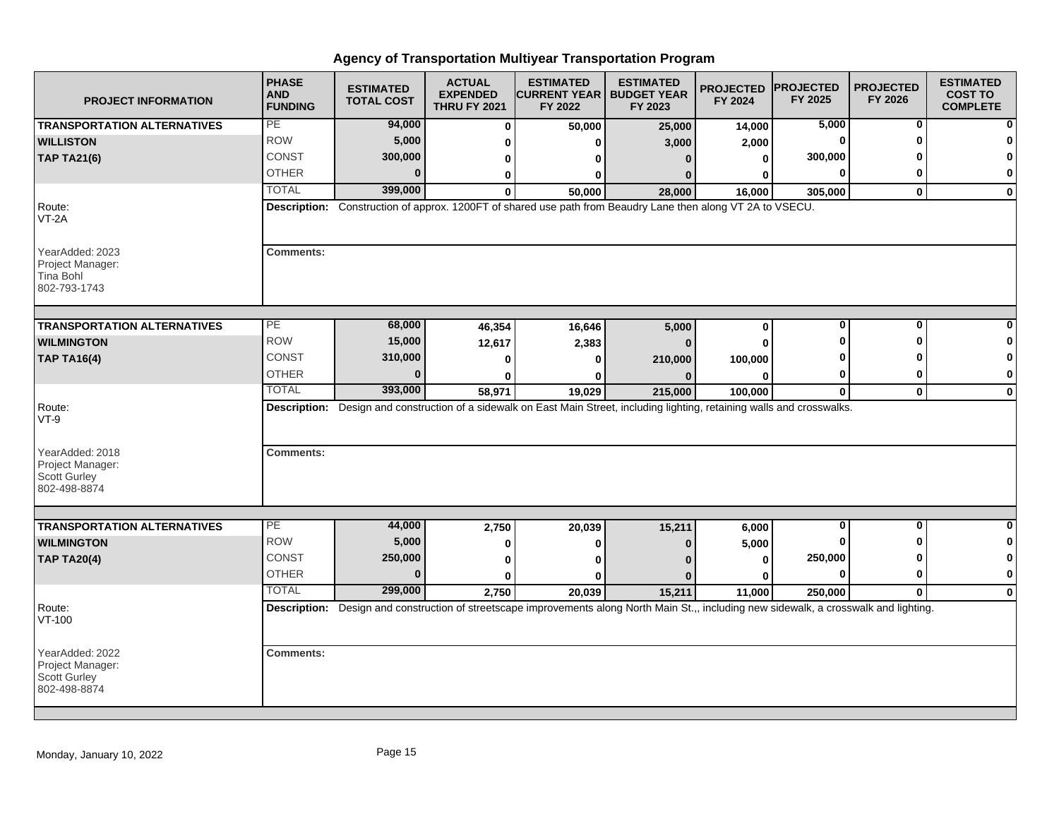| <b>PROJECT INFORMATION</b>                                                 | <b>PHASE</b><br><b>AND</b><br><b>FUNDING</b> | <b>ESTIMATED</b><br><b>TOTAL COST</b> | <b>ACTUAL</b><br><b>EXPENDED</b><br><b>THRU FY 2021</b> | <b>ESTIMATED</b><br><b>CURRENT YEAR   BUDGET YEAR</b><br>FY 2022 | <b>ESTIMATED</b><br>FY 2023                                                                                                               | <b>PROJECTED</b><br>FY 2024 | <b>PROJECTED</b><br>FY 2025 | <b>PROJECTED</b><br>FY 2026 | <b>ESTIMATED</b><br><b>COST TO</b><br><b>COMPLETE</b> |
|----------------------------------------------------------------------------|----------------------------------------------|---------------------------------------|---------------------------------------------------------|------------------------------------------------------------------|-------------------------------------------------------------------------------------------------------------------------------------------|-----------------------------|-----------------------------|-----------------------------|-------------------------------------------------------|
| <b>TRANSPORTATION ALTERNATIVES</b>                                         | PE                                           | 94,000                                | $\bf{0}$                                                | 50,000                                                           | 25,000                                                                                                                                    | 14,000                      | 5,000                       | $\mathbf{0}$                |                                                       |
| <b>WILLISTON</b>                                                           | <b>ROW</b>                                   | 5,000                                 | 0                                                       | ŋ                                                                | 3,000                                                                                                                                     | 2,000                       | 0                           | ŋ                           |                                                       |
| <b>TAP TA21(6)</b>                                                         | CONST                                        | 300,000                               | 0                                                       | ŋ                                                                |                                                                                                                                           | 0                           | 300,000                     |                             |                                                       |
|                                                                            | <b>OTHER</b>                                 | $\bf{0}$                              | 0                                                       | 0                                                                |                                                                                                                                           | ŋ                           | 0                           | 0                           | $\bf{0}$                                              |
|                                                                            | <b>TOTAL</b>                                 | 399,000                               | $\mathbf{0}$                                            | 50,000                                                           | 28,000                                                                                                                                    | 16,000                      | 305,000                     | $\mathbf 0$                 | $\mathbf 0$                                           |
| Route:<br>$VT-2A$                                                          |                                              |                                       |                                                         |                                                                  | Description: Construction of approx. 1200FT of shared use path from Beaudry Lane then along VT 2A to VSECU.                               |                             |                             |                             |                                                       |
| YearAdded: 2023<br>Project Manager:<br>Tina Bohl<br>802-793-1743           | <b>Comments:</b>                             |                                       |                                                         |                                                                  |                                                                                                                                           |                             |                             |                             |                                                       |
| <b>TRANSPORTATION ALTERNATIVES</b>                                         | PE                                           | 68,000                                | 46,354                                                  | 16,646                                                           | 5,000                                                                                                                                     | $\mathbf 0$                 | $\mathbf 0$                 | $\bf{0}$                    |                                                       |
| <b>WILMINGTON</b>                                                          | <b>ROW</b>                                   | 15,000                                | 12,617                                                  | 2,383                                                            |                                                                                                                                           | U                           | O                           | ŋ                           |                                                       |
| <b>TAP TA16(4)</b>                                                         | CONST                                        | 310,000                               |                                                         |                                                                  |                                                                                                                                           | 100,000                     |                             |                             | n                                                     |
|                                                                            | <b>OTHER</b>                                 | 0                                     | 0<br>ŋ                                                  | 0<br>ŋ                                                           | 210,000                                                                                                                                   | $\bf{0}$                    | 0                           | 0                           | 0                                                     |
|                                                                            | <b>TOTAL</b>                                 | 393,000                               | 58,971                                                  | 19,029                                                           | 215,000                                                                                                                                   | 100,000                     | $\mathbf 0$                 | $\mathbf{0}$                | $\mathbf{0}$                                          |
| Route:<br>$VT-9$                                                           |                                              |                                       |                                                         |                                                                  | Description: Design and construction of a sidewalk on East Main Street, including lighting, retaining walls and crosswalks.               |                             |                             |                             |                                                       |
| YearAdded: 2018<br>Project Manager:<br><b>Scott Gurley</b><br>802-498-8874 | <b>Comments:</b>                             |                                       |                                                         |                                                                  |                                                                                                                                           |                             |                             |                             |                                                       |
|                                                                            | PE                                           | 44,000                                |                                                         |                                                                  |                                                                                                                                           |                             | $\mathbf 0$                 | 0                           | $\bf{0}$                                              |
| <b>TRANSPORTATION ALTERNATIVES</b>                                         | <b>ROW</b>                                   | 5,000                                 | 2,750                                                   | 20,039                                                           | 15,211                                                                                                                                    | 6,000                       | ŋ                           | O                           | 0                                                     |
| <b>WILMINGTON</b>                                                          |                                              |                                       | 0                                                       | 0                                                                |                                                                                                                                           | 5,000                       |                             | ŋ                           | 0                                                     |
| <b>TAP TA20(4)</b>                                                         | <b>CONST</b><br><b>OTHER</b>                 | 250,000<br>$\bf{0}$                   | $\bf{0}$                                                | U                                                                |                                                                                                                                           | $\bf{0}$                    | 250,000                     |                             |                                                       |
|                                                                            |                                              |                                       | 0                                                       | 0                                                                |                                                                                                                                           | 0                           | $\bf{0}$                    | $\bf{0}$                    | $\mathbf 0$                                           |
|                                                                            | <b>TOTAL</b>                                 | 299,000                               | 2,750                                                   | 20,039                                                           | 15,211                                                                                                                                    | 11,000                      | 250,000                     | $\mathbf{0}$                | $\mathbf 0$                                           |
| Route:<br>VT-100                                                           |                                              |                                       |                                                         |                                                                  | Description: Design and construction of streetscape improvements along North Main St.,, including new sidewalk, a crosswalk and lighting. |                             |                             |                             |                                                       |
| YearAdded: 2022<br>Project Manager:<br><b>Scott Gurley</b><br>802-498-8874 | <b>Comments:</b>                             |                                       |                                                         |                                                                  |                                                                                                                                           |                             |                             |                             |                                                       |